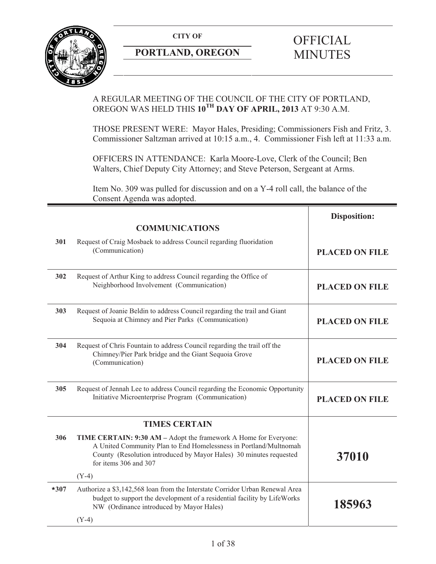**CITY OF** 



## **PORTLAND, OREGON**

# **OFFICIAL** MINUTES

### A REGULAR MEETING OF THE COUNCIL OF THE CITY OF PORTLAND, OREGON WAS HELD THIS **10TH DAY OF APRIL, 2013** AT 9:30 A.M.

THOSE PRESENT WERE: Mayor Hales, Presiding; Commissioners Fish and Fritz, 3. Commissioner Saltzman arrived at 10:15 a.m., 4. Commissioner Fish left at 11:33 a.m.

OFFICERS IN ATTENDANCE: Karla Moore-Love, Clerk of the Council; Ben Walters, Chief Deputy City Attorney; and Steve Peterson, Sergeant at Arms.

Item No. 309 was pulled for discussion and on a Y-4 roll call, the balance of the Consent Agenda was adopted.

|        |                                                                                                                                                                                                                                      | <b>Disposition:</b>   |
|--------|--------------------------------------------------------------------------------------------------------------------------------------------------------------------------------------------------------------------------------------|-----------------------|
|        | <b>COMMUNICATIONS</b>                                                                                                                                                                                                                |                       |
| 301    | Request of Craig Mosbaek to address Council regarding fluoridation<br>(Communication)                                                                                                                                                | <b>PLACED ON FILE</b> |
| 302    | Request of Arthur King to address Council regarding the Office of<br>Neighborhood Involvement (Communication)                                                                                                                        | <b>PLACED ON FILE</b> |
| 303    | Request of Joanie Beldin to address Council regarding the trail and Giant<br>Sequoia at Chimney and Pier Parks (Communication)                                                                                                       | <b>PLACED ON FILE</b> |
| 304    | Request of Chris Fountain to address Council regarding the trail off the<br>Chimney/Pier Park bridge and the Giant Sequoia Grove<br>(Communication)                                                                                  | <b>PLACED ON FILE</b> |
| 305    | Request of Jennah Lee to address Council regarding the Economic Opportunity<br>Initiative Microenterprise Program (Communication)                                                                                                    | <b>PLACED ON FILE</b> |
|        | <b>TIMES CERTAIN</b>                                                                                                                                                                                                                 |                       |
| 306    | TIME CERTAIN: 9:30 AM - Adopt the framework A Home for Everyone:<br>A United Community Plan to End Homelessness in Portland/Multnomah<br>County (Resolution introduced by Mayor Hales) 30 minutes requested<br>for items 306 and 307 | 37010                 |
|        | $(Y-4)$                                                                                                                                                                                                                              |                       |
| $*307$ | Authorize a \$3,142,568 loan from the Interstate Corridor Urban Renewal Area<br>budget to support the development of a residential facility by LifeWorks<br>NW (Ordinance introduced by Mayor Hales)                                 | 185963                |
|        | $(Y-4)$                                                                                                                                                                                                                              |                       |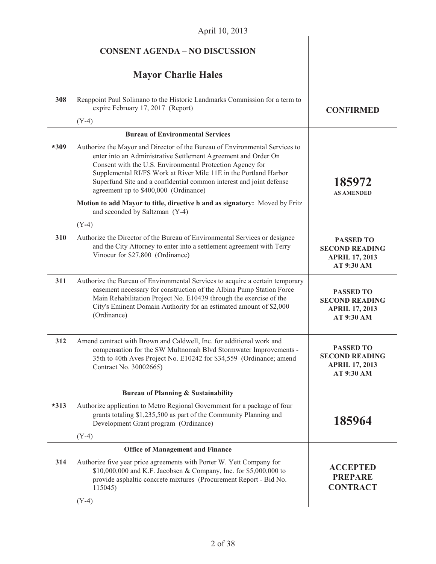|        | <b>CONSENT AGENDA - NO DISCUSSION</b>                                                                                                                                                                                                                                                                                                                                                          |                                                                                  |
|--------|------------------------------------------------------------------------------------------------------------------------------------------------------------------------------------------------------------------------------------------------------------------------------------------------------------------------------------------------------------------------------------------------|----------------------------------------------------------------------------------|
|        | <b>Mayor Charlie Hales</b>                                                                                                                                                                                                                                                                                                                                                                     |                                                                                  |
| 308    | Reappoint Paul Solimano to the Historic Landmarks Commission for a term to<br>expire February 17, 2017 (Report)                                                                                                                                                                                                                                                                                | <b>CONFIRMED</b>                                                                 |
|        | $(Y-4)$                                                                                                                                                                                                                                                                                                                                                                                        |                                                                                  |
|        | <b>Bureau of Environmental Services</b>                                                                                                                                                                                                                                                                                                                                                        |                                                                                  |
| $*309$ | Authorize the Mayor and Director of the Bureau of Environmental Services to<br>enter into an Administrative Settlement Agreement and Order On<br>Consent with the U.S. Environmental Protection Agency for<br>Supplemental RI/FS Work at River Mile 11E in the Portland Harbor<br>Superfund Site and a confidential common interest and joint defense<br>agreement up to \$400,000 (Ordinance) | 185972<br><b>AS AMENDED</b>                                                      |
|        | Motion to add Mayor to title, directive b and as signatory: Moved by Fritz<br>and seconded by Saltzman (Y-4)                                                                                                                                                                                                                                                                                   |                                                                                  |
|        | $(Y-4)$                                                                                                                                                                                                                                                                                                                                                                                        |                                                                                  |
| 310    | Authorize the Director of the Bureau of Environmental Services or designee<br>and the City Attorney to enter into a settlement agreement with Terry<br>Vinocur for \$27,800 (Ordinance)                                                                                                                                                                                                        | <b>PASSED TO</b><br><b>SECOND READING</b><br><b>APRIL 17, 2013</b><br>AT 9:30 AM |
| 311    | Authorize the Bureau of Environmental Services to acquire a certain temporary<br>easement necessary for construction of the Albina Pump Station Force<br>Main Rehabilitation Project No. E10439 through the exercise of the<br>City's Eminent Domain Authority for an estimated amount of \$2,000<br>(Ordinance)                                                                               | <b>PASSED TO</b><br><b>SECOND READING</b><br><b>APRIL 17, 2013</b><br>AT 9:30 AM |
| 312    | Amend contract with Brown and Caldwell, Inc. for additional work and<br>compensation for the SW Multnomah Blvd Stormwater Improvements -<br>35th to 40th Aves Project No. E10242 for \$34,559 (Ordinance; amend<br>Contract No. 30002665)                                                                                                                                                      | <b>PASSED TO</b><br><b>SECOND READING</b><br><b>APRIL 17, 2013</b><br>AT 9:30 AM |
|        | <b>Bureau of Planning &amp; Sustainability</b>                                                                                                                                                                                                                                                                                                                                                 |                                                                                  |
| $*313$ | Authorize application to Metro Regional Government for a package of four<br>grants totaling \$1,235,500 as part of the Community Planning and<br>Development Grant program (Ordinance)                                                                                                                                                                                                         | 185964                                                                           |
|        | $(Y-4)$                                                                                                                                                                                                                                                                                                                                                                                        |                                                                                  |
|        | <b>Office of Management and Finance</b>                                                                                                                                                                                                                                                                                                                                                        |                                                                                  |
| 314    | Authorize five year price agreements with Porter W. Yett Company for<br>\$10,000,000 and K.F. Jacobsen & Company, Inc. for \$5,000,000 to<br>provide asphaltic concrete mixtures (Procurement Report - Bid No.<br>115045)                                                                                                                                                                      | <b>ACCEPTED</b><br><b>PREPARE</b><br><b>CONTRACT</b>                             |
|        | $(Y-4)$                                                                                                                                                                                                                                                                                                                                                                                        |                                                                                  |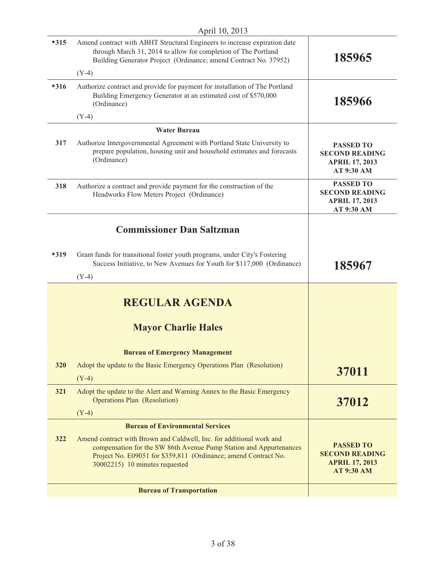| $*315$ | Amend contract with ABHT Structural Engineers to increase expiration date<br>through March 31, 2014 to allow for completion of The Portland<br>Building Generator Project (Ordinance; amend Contract No. 37952)                                 | 185965                                                                                  |
|--------|-------------------------------------------------------------------------------------------------------------------------------------------------------------------------------------------------------------------------------------------------|-----------------------------------------------------------------------------------------|
|        | $(Y-4)$                                                                                                                                                                                                                                         |                                                                                         |
| $*316$ | Authorize contract and provide for payment for installation of The Portland<br>Building Emergency Generator at an estimated cost of \$570,000<br>(Ordinance)                                                                                    | 185966                                                                                  |
|        | $(Y-4)$                                                                                                                                                                                                                                         |                                                                                         |
|        | <b>Water Bureau</b>                                                                                                                                                                                                                             |                                                                                         |
| 317    | Authorize Intergovernmental Agreement with Portland State University to<br>prepare population, housing unit and household estimates and forecasts<br>(Ordinance)                                                                                | <b>PASSED TO</b><br><b>SECOND READING</b><br><b>APRIL 17, 2013</b><br>AT 9:30 AM        |
| 318    | Authorize a contract and provide payment for the construction of the<br>Headworks Flow Meters Project (Ordinance)                                                                                                                               | <b>PASSED TO</b><br><b>SECOND READING</b><br><b>APRIL 17, 2013</b><br>AT 9:30 AM        |
|        | <b>Commissioner Dan Saltzman</b>                                                                                                                                                                                                                |                                                                                         |
| $*319$ | Grant funds for transitional foster youth programs, under City's Fostering<br>Success Initiative, to New Avenues for Youth for \$117,000 (Ordinance)<br>$(Y-4)$                                                                                 | 185967                                                                                  |
|        |                                                                                                                                                                                                                                                 |                                                                                         |
|        | <b>REGULAR AGENDA</b>                                                                                                                                                                                                                           |                                                                                         |
|        | <b>Mayor Charlie Hales</b>                                                                                                                                                                                                                      |                                                                                         |
|        | <b>Bureau of Emergency Management</b>                                                                                                                                                                                                           |                                                                                         |
| 320    | Adopt the update to the Basic Emergency Operations Plan (Resolution)                                                                                                                                                                            |                                                                                         |
|        | $(Y-4)$                                                                                                                                                                                                                                         | 37011                                                                                   |
| 321    | Adopt the update to the Alert and Warning Annex to the Basic Emergency<br><b>Operations Plan (Resolution)</b>                                                                                                                                   | 37012                                                                                   |
|        | $(Y-4)$                                                                                                                                                                                                                                         |                                                                                         |
|        | <b>Bureau of Environmental Services</b>                                                                                                                                                                                                         |                                                                                         |
| 322    | Amend contract with Brown and Caldwell, Inc. for additional work and<br>compensation for the SW 86th Avenue Pump Station and Appurtenances<br>Project No. E09051 for \$359,811 (Ordinance; amend Contract No.<br>30002215) 10 minutes requested | <b>PASSED TO</b><br><b>SECOND READING</b><br><b>APRIL 17, 2013</b><br><b>AT 9:30 AM</b> |
|        | <b>Bureau of Transportation</b>                                                                                                                                                                                                                 |                                                                                         |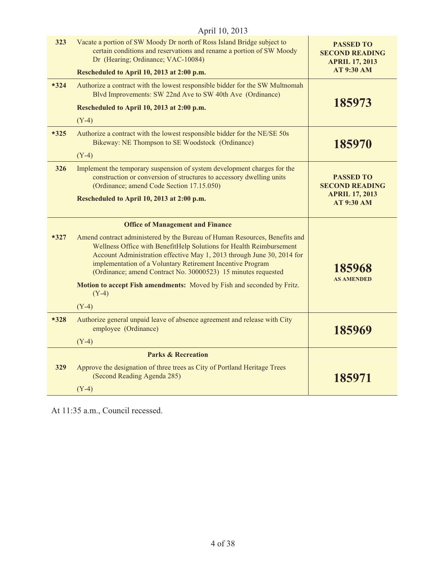|        | April 10, 2013                                                                                                                                                                                                                                                                                                                                             |                                                                    |
|--------|------------------------------------------------------------------------------------------------------------------------------------------------------------------------------------------------------------------------------------------------------------------------------------------------------------------------------------------------------------|--------------------------------------------------------------------|
| 323    | Vacate a portion of SW Moody Dr north of Ross Island Bridge subject to<br>certain conditions and reservations and rename a portion of SW Moody<br>Dr (Hearing; Ordinance; VAC-10084)                                                                                                                                                                       | <b>PASSED TO</b><br><b>SECOND READING</b><br><b>APRIL 17, 2013</b> |
|        | Rescheduled to April 10, 2013 at 2:00 p.m.                                                                                                                                                                                                                                                                                                                 | <b>AT 9:30 AM</b>                                                  |
| $*324$ | Authorize a contract with the lowest responsible bidder for the SW Multnomah<br>Blvd Improvements: SW 22nd Ave to SW 40th Ave (Ordinance)                                                                                                                                                                                                                  | 185973                                                             |
|        | Rescheduled to April 10, 2013 at 2:00 p.m.                                                                                                                                                                                                                                                                                                                 |                                                                    |
|        | $(Y-4)$                                                                                                                                                                                                                                                                                                                                                    |                                                                    |
| $*325$ | Authorize a contract with the lowest responsible bidder for the NE/SE 50s<br>Bikeway: NE Thompson to SE Woodstock (Ordinance)                                                                                                                                                                                                                              | 185970                                                             |
|        | $(Y-4)$                                                                                                                                                                                                                                                                                                                                                    |                                                                    |
| 326    | Implement the temporary suspension of system development charges for the<br>construction or conversion of structures to accessory dwelling units<br>(Ordinance; amend Code Section 17.15.050)                                                                                                                                                              | <b>PASSED TO</b><br><b>SECOND READING</b>                          |
|        | Rescheduled to April 10, 2013 at 2:00 p.m.                                                                                                                                                                                                                                                                                                                 | <b>APRIL 17, 2013</b><br><b>AT 9:30 AM</b>                         |
|        | <b>Office of Management and Finance</b>                                                                                                                                                                                                                                                                                                                    |                                                                    |
| $*327$ | Amend contract administered by the Bureau of Human Resources, Benefits and<br>Wellness Office with BenefitHelp Solutions for Health Reimbursement<br>Account Administration effective May 1, 2013 through June 30, 2014 for<br>implementation of a Voluntary Retirement Incentive Program<br>(Ordinance; amend Contract No. 30000523) 15 minutes requested | 185968<br><b>AS AMENDED</b>                                        |
|        | Motion to accept Fish amendments: Moved by Fish and seconded by Fritz.<br>$(Y-4)$                                                                                                                                                                                                                                                                          |                                                                    |
|        | $(Y-4)$                                                                                                                                                                                                                                                                                                                                                    |                                                                    |
| $*328$ | Authorize general unpaid leave of absence agreement and release with City<br>employee (Ordinance)                                                                                                                                                                                                                                                          | 185969                                                             |
|        | $(Y-4)$                                                                                                                                                                                                                                                                                                                                                    |                                                                    |
|        | <b>Parks &amp; Recreation</b>                                                                                                                                                                                                                                                                                                                              |                                                                    |
| 329    | Approve the designation of three trees as City of Portland Heritage Trees<br>(Second Reading Agenda 285)                                                                                                                                                                                                                                                   | 185971                                                             |
|        | $(Y-4)$                                                                                                                                                                                                                                                                                                                                                    |                                                                    |

### At 11:35 a.m., Council recessed.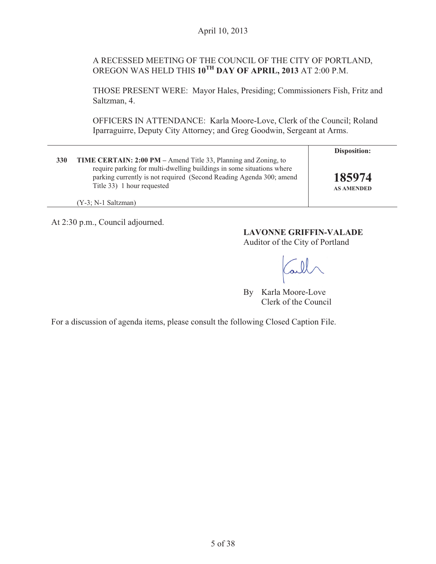### A RECESSED MEETING OF THE COUNCIL OF THE CITY OF PORTLAND, OREGON WAS HELD THIS **10TH DAY OF APRIL, 2013** AT 2:00 P.M.

THOSE PRESENT WERE: Mayor Hales, Presiding; Commissioners Fish, Fritz and Saltzman, 4.

OFFICERS IN ATTENDANCE: Karla Moore-Love, Clerk of the Council; Roland Iparraguirre, Deputy City Attorney; and Greg Goodwin, Sergeant at Arms.

|     |                                                                                                                                                                                                                                                                             | Disposition:                |
|-----|-----------------------------------------------------------------------------------------------------------------------------------------------------------------------------------------------------------------------------------------------------------------------------|-----------------------------|
| 330 | <b>TIME CERTAIN: 2:00 PM</b> – Amend Title 33, Planning and Zoning, to<br>require parking for multi-dwelling buildings in some situations where<br>parking currently is not required (Second Reading Agenda 300; amend<br>Title 33) 1 hour requested<br>(Y-3; N-1 Saltzman) | 185974<br><b>AS AMENDED</b> |

At 2:30 p.m., Council adjourned.

### **LAVONNE GRIFFIN-VALADE**

Auditor of the City of Portland

By Karla Moore-Love Clerk of the Council

For a discussion of agenda items, please consult the following Closed Caption File.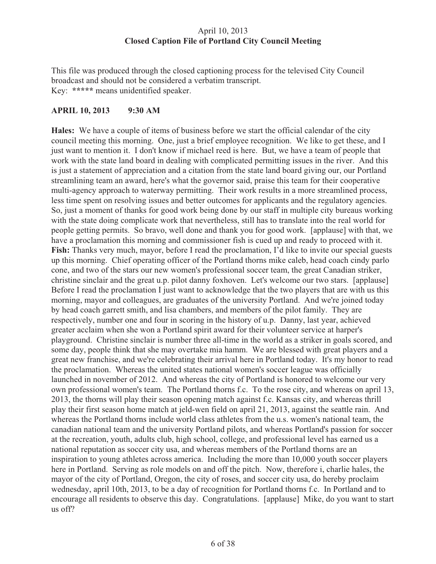### April 10, 2013 **Closed Caption File of Portland City Council Meeting**

This file was produced through the closed captioning process for the televised City Council broadcast and should not be considered a verbatim transcript. Key: **\*\*\*\*\*** means unidentified speaker.

### **APRIL 10, 2013 9:30 AM**

**Hales:** We have a couple of items of business before we start the official calendar of the city council meeting this morning. One, just a brief employee recognition. We like to get these, and I just want to mention it. I don't know if michael reed is here. But, we have a team of people that work with the state land board in dealing with complicated permitting issues in the river. And this is just a statement of appreciation and a citation from the state land board giving our, our Portland streamlining team an award, here's what the governor said, praise this team for their cooperative multi-agency approach to waterway permitting. Their work results in a more streamlined process, less time spent on resolving issues and better outcomes for applicants and the regulatory agencies. So, just a moment of thanks for good work being done by our staff in multiple city bureaus working with the state doing complicate work that nevertheless, still has to translate into the real world for people getting permits. So bravo, well done and thank you for good work. [applause] with that, we have a proclamation this morning and commissioner fish is cued up and ready to proceed with it. **Fish:** Thanks very much, mayor, before I read the proclamation, I'd like to invite our special guests up this morning. Chief operating officer of the Portland thorns mike caleb, head coach cindy parlo cone, and two of the stars our new women's professional soccer team, the great Canadian striker, christine sinclair and the great u.p. pilot danny foxhoven. Let's welcome our two stars. [applause] Before I read the proclamation I just want to acknowledge that the two players that are with us this morning, mayor and colleagues, are graduates of the university Portland. And we're joined today by head coach garrett smith, and lisa chambers, and members of the pilot family. They are respectively, number one and four in scoring in the history of u.p. Danny, last year, achieved greater acclaim when she won a Portland spirit award for their volunteer service at harper's playground. Christine sinclair is number three all-time in the world as a striker in goals scored, and some day, people think that she may overtake mia hamm. We are blessed with great players and a great new franchise, and we're celebrating their arrival here in Portland today. It's my honor to read the proclamation. Whereas the united states national women's soccer league was officially launched in november of 2012. And whereas the city of Portland is honored to welcome our very own professional women's team. The Portland thorns f.c. To the rose city, and whereas on april 13, 2013, the thorns will play their season opening match against f.c. Kansas city, and whereas thrill play their first season home match at jeld-wen field on april 21, 2013, against the seattle rain. And whereas the Portland thorns include world class athletes from the u.s. women's national team, the canadian national team and the university Portland pilots, and whereas Portland's passion for soccer at the recreation, youth, adults club, high school, college, and professional level has earned us a national reputation as soccer city usa, and whereas members of the Portland thorns are an inspiration to young athletes across america. Including the more than 10,000 youth soccer players here in Portland. Serving as role models on and off the pitch. Now, therefore i, charlie hales, the mayor of the city of Portland, Oregon, the city of roses, and soccer city usa, do hereby proclaim wednesday, april 10th, 2013, to be a day of recognition for Portland thorns f.c. In Portland and to encourage all residents to observe this day. Congratulations. [applause] Mike, do you want to start us off?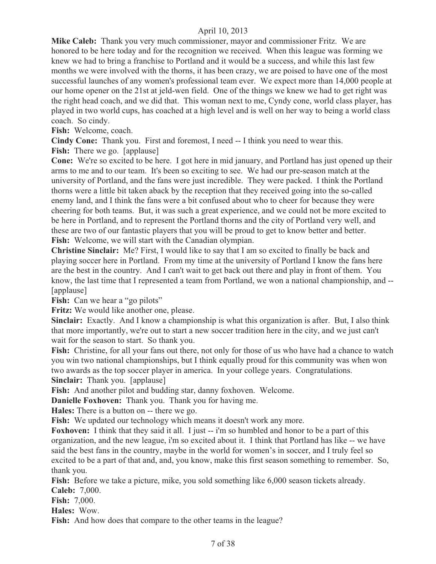**Mike Caleb:** Thank you very much commissioner, mayor and commissioner Fritz. We are honored to be here today and for the recognition we received. When this league was forming we knew we had to bring a franchise to Portland and it would be a success, and while this last few months we were involved with the thorns, it has been crazy, we are poised to have one of the most successful launches of any women's professional team ever. We expect more than 14,000 people at our home opener on the 21st at jeld-wen field. One of the things we knew we had to get right was the right head coach, and we did that. This woman next to me, Cyndy cone, world class player, has played in two world cups, has coached at a high level and is well on her way to being a world class coach. So cindy.

**Fish:** Welcome, coach.

**Cindy Cone:** Thank you. First and foremost, I need -- I think you need to wear this.

**Fish:** There we go. [applause]

**Cone:** We're so excited to be here. I got here in mid january, and Portland has just opened up their arms to me and to our team. It's been so exciting to see. We had our pre-season match at the university of Portland, and the fans were just incredible. They were packed. I think the Portland thorns were a little bit taken aback by the reception that they received going into the so-called enemy land, and I think the fans were a bit confused about who to cheer for because they were cheering for both teams. But, it was such a great experience, and we could not be more excited to be here in Portland, and to represent the Portland thorns and the city of Portland very well, and these are two of our fantastic players that you will be proud to get to know better and better. **Fish:** Welcome, we will start with the Canadian olympian.

**Christine Sinclair:** Me? First, I would like to say that I am so excited to finally be back and playing soccer here in Portland. From my time at the university of Portland I know the fans here are the best in the country. And I can't wait to get back out there and play in front of them. You know, the last time that I represented a team from Portland, we won a national championship, and -- [applause]

**Fish:** Can we hear a "go pilots"

**Fritz:** We would like another one, please.

**Sinclair:** Exactly. And I know a championship is what this organization is after. But, I also think that more importantly, we're out to start a new soccer tradition here in the city, and we just can't wait for the season to start. So thank you.

Fish: Christine, for all your fans out there, not only for those of us who have had a chance to watch you win two national championships, but I think equally proud for this community was when won two awards as the top soccer player in america. In your college years. Congratulations. **Sinclair:** Thank you. [applause]

**Fish:** And another pilot and budding star, danny foxhoven. Welcome.

**Danielle Foxhoven:** Thank you. Thank you for having me.

**Hales:** There is a button on -- there we go.

**Fish:** We updated our technology which means it doesn't work any more.

**Foxhoven:** I think that they said it all. I just -- i'm so humbled and honor to be a part of this organization, and the new league, i'm so excited about it. I think that Portland has like -- we have said the best fans in the country, maybe in the world for women's in soccer, and I truly feel so excited to be a part of that and, and, you know, make this first season something to remember. So, thank you.

**Fish:** Before we take a picture, mike, you sold something like 6,000 season tickets already. **Caleb:** 7,000.

**Fish:** 7,000.

**Hales:** Wow.

**Fish:** And how does that compare to the other teams in the league?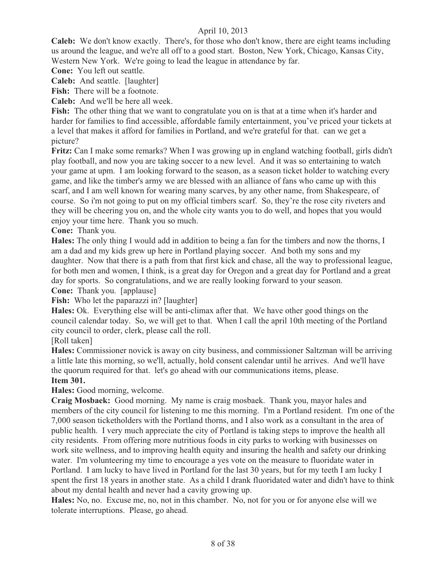**Caleb:** We don't know exactly. There's, for those who don't know, there are eight teams including us around the league, and we're all off to a good start. Boston, New York, Chicago, Kansas City, Western New York. We're going to lead the league in attendance by far.

**Cone:** You left out seattle.

**Caleb:** And seattle. [laughter]

**Fish:** There will be a footnote.

**Caleb:** And we'll be here all week.

**Fish:** The other thing that we want to congratulate you on is that at a time when it's harder and harder for families to find accessible, affordable family entertainment, you've priced your tickets at a level that makes it afford for families in Portland, and we're grateful for that. can we get a picture?

**Fritz:** Can I make some remarks? When I was growing up in england watching football, girls didn't play football, and now you are taking soccer to a new level. And it was so entertaining to watch your game at upm. I am looking forward to the season, as a season ticket holder to watching every game, and like the timber's army we are blessed with an alliance of fans who came up with this scarf, and I am well known for wearing many scarves, by any other name, from Shakespeare, of course. So i'm not going to put on my official timbers scarf. So, they're the rose city riveters and they will be cheering you on, and the whole city wants you to do well, and hopes that you would enjoy your time here. Thank you so much.

**Cone:** Thank you.

**Hales:** The only thing I would add in addition to being a fan for the timbers and now the thorns, I am a dad and my kids grew up here in Portland playing soccer. And both my sons and my daughter. Now that there is a path from that first kick and chase, all the way to professional league, for both men and women, I think, is a great day for Oregon and a great day for Portland and a great day for sports. So congratulations, and we are really looking forward to your season.

**Cone:** Thank you. [applause]

Fish: Who let the paparazzi in? [laughter]

**Hales:** Ok. Everything else will be anti-climax after that. We have other good things on the council calendar today. So, we will get to that. When I call the april 10th meeting of the Portland city council to order, clerk, please call the roll.

[Roll taken]

**Hales:** Commissioner novick is away on city business, and commissioner Saltzman will be arriving a little late this morning, so we'll, actually, hold consent calendar until he arrives. And we'll have the quorum required for that. let's go ahead with our communications items, please.

### **Item 301.**

**Hales:** Good morning, welcome.

**Craig Mosbaek:** Good morning. My name is craig mosbaek. Thank you, mayor hales and members of the city council for listening to me this morning. I'm a Portland resident. I'm one of the 7,000 season ticketholders with the Portland thorns, and I also work as a consultant in the area of public health. I very much appreciate the city of Portland is taking steps to improve the health all city residents. From offering more nutritious foods in city parks to working with businesses on work site wellness, and to improving health equity and insuring the health and safety our drinking water. I'm volunteering my time to encourage a yes vote on the measure to fluoridate water in Portland. I am lucky to have lived in Portland for the last 30 years, but for my teeth I am lucky I spent the first 18 years in another state. As a child I drank fluoridated water and didn't have to think about my dental health and never had a cavity growing up.

**Hales:** No, no. Excuse me, no, not in this chamber. No, not for you or for anyone else will we tolerate interruptions. Please, go ahead.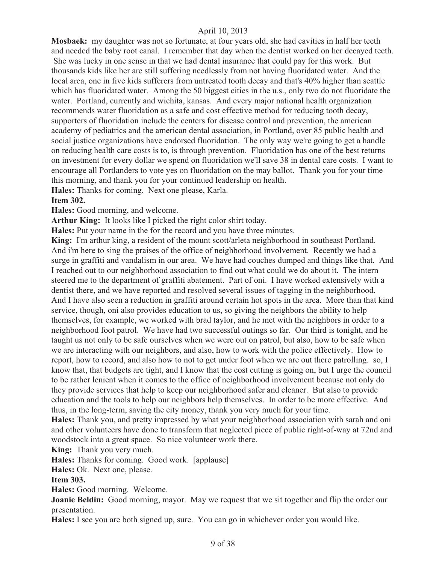**Mosbaek:** my daughter was not so fortunate, at four years old, she had cavities in half her teeth and needed the baby root canal. I remember that day when the dentist worked on her decayed teeth. She was lucky in one sense in that we had dental insurance that could pay for this work. But thousands kids like her are still suffering needlessly from not having fluoridated water. And the local area, one in five kids sufferers from untreated tooth decay and that's 40% higher than seattle which has fluoridated water. Among the 50 biggest cities in the u.s., only two do not fluoridate the water. Portland, currently and wichita, kansas. And every major national health organization recommends water fluoridation as a safe and cost effective method for reducing tooth decay, supporters of fluoridation include the centers for disease control and prevention, the american academy of pediatrics and the american dental association, in Portland, over 85 public health and social justice organizations have endorsed fluoridation. The only way we're going to get a handle on reducing health care costs is to, is through prevention. Fluoridation has one of the best returns on investment for every dollar we spend on fluoridation we'll save 38 in dental care costs. I want to encourage all Portlanders to vote yes on fluoridation on the may ballot. Thank you for your time this morning, and thank you for your continued leadership on health.

**Hales:** Thanks for coming. Next one please, Karla.

#### **Item 302.**

**Hales:** Good morning, and welcome.

**Arthur King:** It looks like I picked the right color shirt today.

**Hales:** Put your name in the for the record and you have three minutes.

**King:** I'm arthur king, a resident of the mount scott/arleta neighborhood in southeast Portland. And i'm here to sing the praises of the office of neighborhood involvement. Recently we had a surge in graffiti and vandalism in our area. We have had couches dumped and things like that. And I reached out to our neighborhood association to find out what could we do about it. The intern steered me to the department of graffiti abatement. Part of oni. I have worked extensively with a dentist there, and we have reported and resolved several issues of tagging in the neighborhood. And I have also seen a reduction in graffiti around certain hot spots in the area. More than that kind service, though, oni also provides education to us, so giving the neighbors the ability to help themselves, for example, we worked with brad taylor, and he met with the neighbors in order to a neighborhood foot patrol. We have had two successful outings so far. Our third is tonight, and he taught us not only to be safe ourselves when we were out on patrol, but also, how to be safe when we are interacting with our neighbors, and also, how to work with the police effectively. How to report, how to record, and also how to not to get under foot when we are out there patrolling. so, I know that, that budgets are tight, and I know that the cost cutting is going on, but I urge the council to be rather lenient when it comes to the office of neighborhood involvement because not only do they provide services that help to keep our neighborhood safer and cleaner. But also to provide education and the tools to help our neighbors help themselves. In order to be more effective. And thus, in the long-term, saving the city money, thank you very much for your time.

**Hales:** Thank you, and pretty impressed by what your neighborhood association with sarah and oni and other volunteers have done to transform that neglected piece of public right-of-way at 72nd and woodstock into a great space. So nice volunteer work there.

**King:** Thank you very much.

**Hales:** Thanks for coming. Good work. [applause]

**Hales:** Ok. Next one, please.

#### **Item 303.**

**Hales:** Good morning. Welcome.

**Joanie Beldin:** Good morning, mayor. May we request that we sit together and flip the order our presentation.

**Hales:** I see you are both signed up, sure. You can go in whichever order you would like.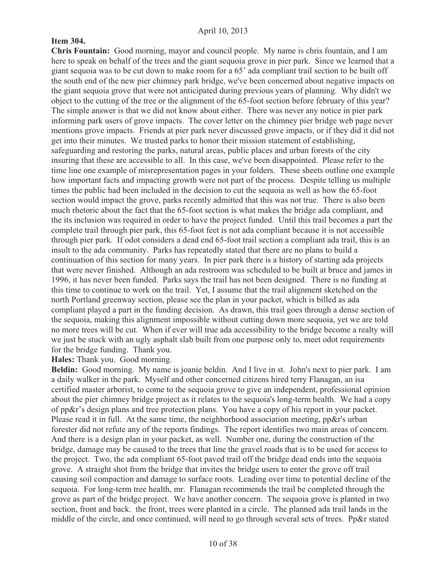### **Item 304.**

**Chris Fountain:** Good morning, mayor and council people. My name is chris fountain, and I am here to speak on behalf of the trees and the giant sequoia grove in pier park. Since we learned that a giant sequoia was to be cut down to make room for a 65' ada compliant trail section to be built off the south end of the new pier chimney park bridge, we've been concerned about negative impacts on the giant sequoia grove that were not anticipated during previous years of planning. Why didn't we object to the cutting of the tree or the alignment of the 65-foot section before february of this year? The simple answer is that we did not know about either. There was never any notice in pier park informing park users of grove impacts. The cover letter on the chimney pier bridge web page never mentions grove impacts. Friends at pier park never discussed grove impacts, or if they did it did not get into their minutes. We trusted parks to honor their mission statement of establishing, safeguarding and restoring the parks, natural areas, public places and urban forests of the city insuring that these are accessible to all. In this case, we've been disappointed. Please refer to the time line one example of misrepresentation pages in your folders. These sheets outline one example how important facts and impacting growth were not part of the process. Despite telling us multiple times the public had been included in the decision to cut the sequoia as well as how the 65-foot section would impact the grove, parks recently admitted that this was not true. There is also been much rhetoric about the fact that the 65-foot section is what makes the bridge ada compliant, and the its inclusion was required in order to have the project funded. Until this trail becomes a part the complete trail through pier park, this 65-foot feet is not ada compliant because it is not accessible through pier park. If odot considers a dead end 65-foot trail section a compliant ada trail, this is an insult to the ada community. Parks has repeatedly stated that there are no plans to build a continuation of this section for many years. In pier park there is a history of starting ada projects that were never finished. Although an ada restroom was scheduled to be built at bruce and james in 1996, it has never been funded. Parks says the trail has not been designed. There is no funding at this time to continue to work on the trail. Yet, I assume that the trail alignment sketched on the north Portland greenway section, please see the plan in your packet, which is billed as ada compliant played a part in the funding decision. As drawn, this trail goes through a dense section of the sequoia, making this alignment impossible without cutting down more sequoia, yet we are told no more trees will be cut. When if ever will true ada accessibility to the bridge become a realty will we just be stuck with an ugly asphalt slab built from one purpose only to, meet odot requirements for the bridge funding. Thank you.

**Hales:** Thank you. Good morning.

**Beldin:** Good morning. My name is joanie beldin. And I live in st. John's next to pier park. I am a daily walker in the park. Myself and other concerned citizens hired terry Flanagan, an isa certified master arborist, to come to the sequoia grove to give an independent, professional opinion about the pier chimney bridge project as it relates to the sequoia's long-term health. We had a copy of pp&r's design plans and tree protection plans. You have a copy of his report in your packet. Please read it in full. At the same time, the neighborhood association meeting, pp&r's urban forester did not refute any of the reports findings. The report identifies two main areas of concern. And there is a design plan in your packet, as well. Number one, during the construction of the bridge, damage may be caused to the trees that line the gravel roads that is to be used for access to the project. Two, the ada compliant 65-foot paved trail off the bridge dead ends into the sequoia grove. A straight shot from the bridge that invites the bridge users to enter the grove off trail causing soil compaction and damage to surface roots. Leading over time to potential decline of the sequoia. For long-term tree health, mr. Flanagan recommends the trail be completed through the grove as part of the bridge project. We have another concern. The sequoia grove is planted in two section, front and back. the front, trees were planted in a circle. The planned ada trail lands in the middle of the circle, and once continued, will need to go through several sets of trees. Pp&r stated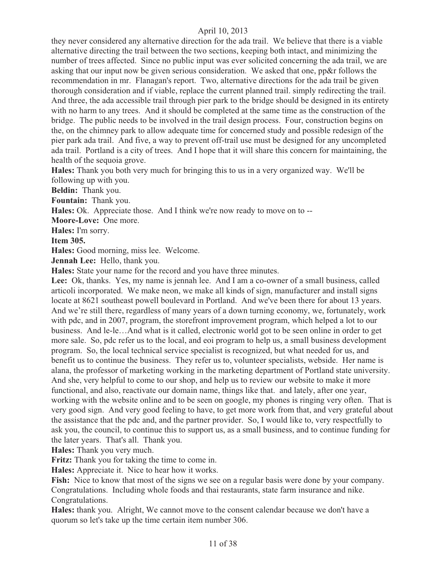they never considered any alternative direction for the ada trail. We believe that there is a viable alternative directing the trail between the two sections, keeping both intact, and minimizing the number of trees affected. Since no public input was ever solicited concerning the ada trail, we are asking that our input now be given serious consideration. We asked that one, pp&r follows the recommendation in mr. Flanagan's report. Two, alternative directions for the ada trail be given thorough consideration and if viable, replace the current planned trail. simply redirecting the trail. And three, the ada accessible trail through pier park to the bridge should be designed in its entirety with no harm to any trees. And it should be completed at the same time as the construction of the bridge. The public needs to be involved in the trail design process. Four, construction begins on the, on the chimney park to allow adequate time for concerned study and possible redesign of the pier park ada trail. And five, a way to prevent off-trail use must be designed for any uncompleted ada trail. Portland is a city of trees. And I hope that it will share this concern for maintaining, the health of the sequoia grove.

**Hales:** Thank you both very much for bringing this to us in a very organized way. We'll be following up with you.

**Beldin:** Thank you.

**Fountain:** Thank you.

**Hales:** Ok. Appreciate those. And I think we're now ready to move on to --

**Moore-Love:** One more.

**Hales:** I'm sorry.

**Item 305.**

**Hales:** Good morning, miss lee. Welcome.

**Jennah Lee:** Hello, thank you.

**Hales:** State your name for the record and you have three minutes.

**Lee:** Ok, thanks. Yes, my name is jennah lee. And I am a co-owner of a small business, called articoli incorporated. We make neon, we make all kinds of sign, manufacturer and install signs locate at 8621 southeast powell boulevard in Portland. And we've been there for about 13 years. And we're still there, regardless of many years of a down turning economy, we, fortunately, work with pdc, and in 2007, program, the storefront improvement program, which helped a lot to our business. And le-le…And what is it called, electronic world got to be seen online in order to get more sale. So, pdc refer us to the local, and eoi program to help us, a small business development program. So, the local technical service specialist is recognized, but what needed for us, and benefit us to continue the business. They refer us to, volunteer specialists, webside. Her name is alana, the professor of marketing working in the marketing department of Portland state university. And she, very helpful to come to our shop, and help us to review our website to make it more functional, and also, reactivate our domain name, things like that. and lately, after one year, working with the website online and to be seen on google, my phones is ringing very often. That is very good sign. And very good feeling to have, to get more work from that, and very grateful about the assistance that the pdc and, and the partner provider. So, I would like to, very respectfully to ask you, the council, to continue this to support us, as a small business, and to continue funding for the later years. That's all. Thank you.

**Hales:** Thank you very much.

**Fritz:** Thank you for taking the time to come in.

**Hales:** Appreciate it. Nice to hear how it works.

Fish: Nice to know that most of the signs we see on a regular basis were done by your company. Congratulations. Including whole foods and thai restaurants, state farm insurance and nike. Congratulations.

**Hales:** thank you. Alright, We cannot move to the consent calendar because we don't have a quorum so let's take up the time certain item number 306.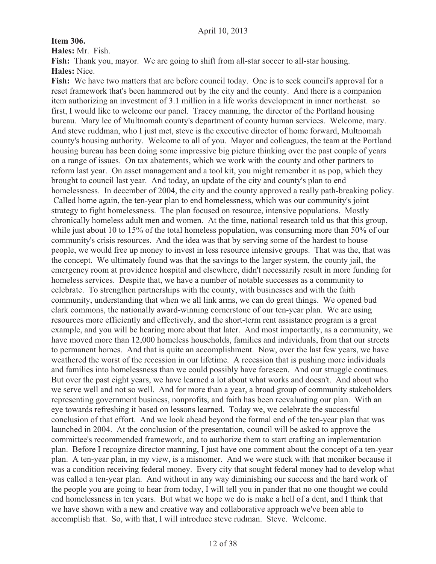**Item 306.**

**Hales:** Mr. Fish.

**Fish:** Thank you, mayor. We are going to shift from all-star soccer to all-star housing. **Hales:** Nice.

**Fish:** We have two matters that are before council today. One is to seek council's approval for a reset framework that's been hammered out by the city and the county. And there is a companion item authorizing an investment of 3.1 million in a life works development in inner northeast. so first, I would like to welcome our panel. Tracey manning, the director of the Portland housing bureau. Mary lee of Multnomah county's department of county human services. Welcome, mary. And steve ruddman, who I just met, steve is the executive director of home forward, Multnomah county's housing authority. Welcome to all of you. Mayor and colleagues, the team at the Portland housing bureau has been doing some impressive big picture thinking over the past couple of years on a range of issues. On tax abatements, which we work with the county and other partners to reform last year. On asset management and a tool kit, you might remember it as pop, which they brought to council last year. And today, an update of the city and county's plan to end homelessness. In december of 2004, the city and the county approved a really path-breaking policy. Called home again, the ten-year plan to end homelessness, which was our community's joint strategy to fight homelessness. The plan focused on resource, intensive populations. Mostly chronically homeless adult men and women. At the time, national research told us that this group, while just about 10 to 15% of the total homeless population, was consuming more than 50% of our community's crisis resources. And the idea was that by serving some of the hardest to house people, we would free up money to invest in less resource intensive groups. That was the, that was the concept. We ultimately found was that the savings to the larger system, the county jail, the emergency room at providence hospital and elsewhere, didn't necessarily result in more funding for homeless services. Despite that, we have a number of notable successes as a community to celebrate. To strengthen partnerships with the county, with businesses and with the faith community, understanding that when we all link arms, we can do great things. We opened bud clark commons, the nationally award-winning cornerstone of our ten-year plan. We are using resources more efficiently and effectively, and the short-term rent assistance program is a great example, and you will be hearing more about that later. And most importantly, as a community, we have moved more than 12,000 homeless households, families and individuals, from that our streets to permanent homes. And that is quite an accomplishment. Now, over the last few years, we have weathered the worst of the recession in our lifetime. A recession that is pushing more individuals and families into homelessness than we could possibly have foreseen. And our struggle continues. But over the past eight years, we have learned a lot about what works and doesn't. And about who we serve well and not so well. And for more than a year, a broad group of community stakeholders representing government business, nonprofits, and faith has been reevaluating our plan. With an eye towards refreshing it based on lessons learned. Today we, we celebrate the successful conclusion of that effort. And we look ahead beyond the formal end of the ten-year plan that was launched in 2004. At the conclusion of the presentation, council will be asked to approve the committee's recommended framework, and to authorize them to start crafting an implementation plan. Before I recognize director manning, I just have one comment about the concept of a ten-year plan. A ten-year plan, in my view, is a misnomer. And we were stuck with that moniker because it was a condition receiving federal money. Every city that sought federal money had to develop what was called a ten-year plan. And without in any way diminishing our success and the hard work of the people you are going to hear from today, I will tell you in pander that no one thought we could end homelessness in ten years. But what we hope we do is make a hell of a dent, and I think that we have shown with a new and creative way and collaborative approach we've been able to accomplish that. So, with that, I will introduce steve rudman. Steve. Welcome.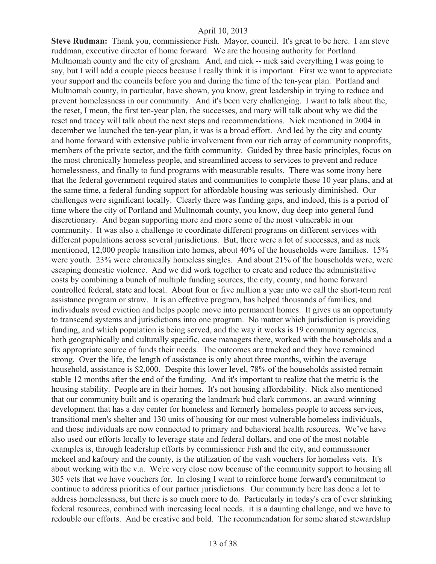**Steve Rudman:** Thank you, commissioner Fish. Mayor, council. It's great to be here. I am steve ruddman, executive director of home forward. We are the housing authority for Portland. Multnomah county and the city of gresham. And, and nick -- nick said everything I was going to say, but I will add a couple pieces because I really think it is important. First we want to appreciate your support and the councils before you and during the time of the ten-year plan. Portland and Multnomah county, in particular, have shown, you know, great leadership in trying to reduce and prevent homelessness in our community. And it's been very challenging. I want to talk about the, the reset, I mean, the first ten-year plan, the successes, and mary will talk about why we did the reset and tracey will talk about the next steps and recommendations. Nick mentioned in 2004 in december we launched the ten-year plan, it was is a broad effort. And led by the city and county and home forward with extensive public involvement from our rich array of community nonprofits, members of the private sector, and the faith community. Guided by three basic principles, focus on the most chronically homeless people, and streamlined access to services to prevent and reduce homelessness, and finally to fund programs with measurable results. There was some irony here that the federal government required states and communities to complete these 10 year plans, and at the same time, a federal funding support for affordable housing was seriously diminished. Our challenges were significant locally. Clearly there was funding gaps, and indeed, this is a period of time where the city of Portland and Multnomah county, you know, dug deep into general fund discretionary. And began supporting more and more some of the most vulnerable in our community. It was also a challenge to coordinate different programs on different services with different populations across several jurisdictions. But, there were a lot of successes, and as nick mentioned, 12,000 people transition into homes, about 40% of the households were families. 15% were youth. 23% were chronically homeless singles. And about 21% of the households were, were escaping domestic violence. And we did work together to create and reduce the administrative costs by combining a bunch of multiple funding sources, the city, county, and home forward controlled federal, state and local. About four or five million a year into we call the short-term rent assistance program or straw. It is an effective program, has helped thousands of families, and individuals avoid eviction and helps people move into permanent homes. It gives us an opportunity to transcend systems and jurisdictions into one program. No matter which jurisdiction is providing funding, and which population is being served, and the way it works is 19 community agencies, both geographically and culturally specific, case managers there, worked with the households and a fix appropriate source of funds their needs. The outcomes are tracked and they have remained strong. Over the life, the length of assistance is only about three months, within the average household, assistance is \$2,000. Despite this lower level, 78% of the households assisted remain stable 12 months after the end of the funding. And it's important to realize that the metric is the housing stability. People are in their homes. It's not housing affordability. Nick also mentioned that our community built and is operating the landmark bud clark commons, an award-winning development that has a day center for homeless and formerly homeless people to access services, transitional men's shelter and 130 units of housing for our most vulnerable homeless individuals, and those individuals are now connected to primary and behavioral health resources. We've have also used our efforts locally to leverage state and federal dollars, and one of the most notable examples is, through leadership efforts by commissioner Fish and the city, and commissioner mckeel and kafoury and the county, is the utilization of the vash vouchers for homeless vets. It's about working with the v.a. We're very close now because of the community support to housing all 305 vets that we have vouchers for. In closing I want to reinforce home forward's commitment to continue to address priorities of our partner jurisdictions. Our community here has done a lot to address homelessness, but there is so much more to do. Particularly in today's era of ever shrinking federal resources, combined with increasing local needs. it is a daunting challenge, and we have to redouble our efforts. And be creative and bold. The recommendation for some shared stewardship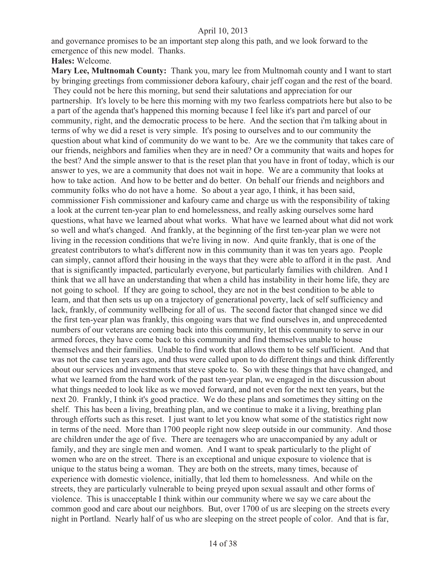and governance promises to be an important step along this path, and we look forward to the emergence of this new model. Thanks.

#### **Hales:** Welcome.

**Mary Lee, Multnomah County:** Thank you, mary lee from Multnomah county and I want to start by bringing greetings from commissioner debora kafoury, chair jeff cogan and the rest of the board. They could not be here this morning, but send their salutations and appreciation for our partnership. It's lovely to be here this morning with my two fearless compatriots here but also to be a part of the agenda that's happened this morning because I feel like it's part and parcel of our community, right, and the democratic process to be here. And the section that i'm talking about in terms of why we did a reset is very simple. It's posing to ourselves and to our community the question about what kind of community do we want to be. Are we the community that takes care of our friends, neighbors and families when they are in need? Or a community that waits and hopes for the best? And the simple answer to that is the reset plan that you have in front of today, which is our answer to yes, we are a community that does not wait in hope. We are a community that looks at how to take action. And how to be better and do better. On behalf our friends and neighbors and community folks who do not have a home. So about a year ago, I think, it has been said, commissioner Fish commissioner and kafoury came and charge us with the responsibility of taking a look at the current ten-year plan to end homelessness, and really asking ourselves some hard questions, what have we learned about what works. What have we learned about what did not work so well and what's changed. And frankly, at the beginning of the first ten-year plan we were not living in the recession conditions that we're living in now. And quite frankly, that is one of the greatest contributors to what's different now in this community than it was ten years ago. People can simply, cannot afford their housing in the ways that they were able to afford it in the past. And that is significantly impacted, particularly everyone, but particularly families with children. And I think that we all have an understanding that when a child has instability in their home life, they are not going to school. If they are going to school, they are not in the best condition to be able to learn, and that then sets us up on a trajectory of generational poverty, lack of self sufficiency and lack, frankly, of community wellbeing for all of us. The second factor that changed since we did the first ten-year plan was frankly, this ongoing wars that we find ourselves in, and unprecedented numbers of our veterans are coming back into this community, let this community to serve in our armed forces, they have come back to this community and find themselves unable to house themselves and their families. Unable to find work that allows them to be self sufficient. And that was not the case ten years ago, and thus were called upon to do different things and think differently about our services and investments that steve spoke to. So with these things that have changed, and what we learned from the hard work of the past ten-year plan, we engaged in the discussion about what things needed to look like as we moved forward, and not even for the next ten years, but the next 20. Frankly, I think it's good practice. We do these plans and sometimes they sitting on the shelf. This has been a living, breathing plan, and we continue to make it a living, breathing plan through efforts such as this reset. I just want to let you know what some of the statistics right now in terms of the need. More than 1700 people right now sleep outside in our community. And those are children under the age of five. There are teenagers who are unaccompanied by any adult or family, and they are single men and women. And I want to speak particularly to the plight of women who are on the street. There is an exceptional and unique exposure to violence that is unique to the status being a woman. They are both on the streets, many times, because of experience with domestic violence, initially, that led them to homelessness. And while on the streets, they are particularly vulnerable to being preyed upon sexual assault and other forms of violence. This is unacceptable I think within our community where we say we care about the common good and care about our neighbors. But, over 1700 of us are sleeping on the streets every night in Portland. Nearly half of us who are sleeping on the street people of color. And that is far,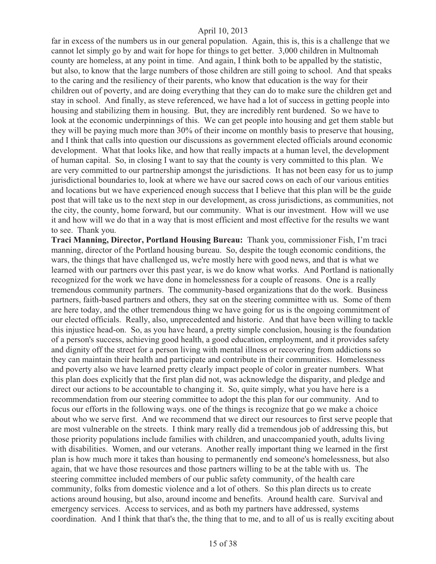far in excess of the numbers us in our general population. Again, this is, this is a challenge that we cannot let simply go by and wait for hope for things to get better. 3,000 children in Multnomah county are homeless, at any point in time. And again, I think both to be appalled by the statistic, but also, to know that the large numbers of those children are still going to school. And that speaks to the caring and the resiliency of their parents, who know that education is the way for their children out of poverty, and are doing everything that they can do to make sure the children get and stay in school. And finally, as steve referenced, we have had a lot of success in getting people into housing and stabilizing them in housing. But, they are incredibly rent burdened. So we have to look at the economic underpinnings of this. We can get people into housing and get them stable but they will be paying much more than 30% of their income on monthly basis to preserve that housing, and I think that calls into question our discussions as government elected officials around economic development. What that looks like, and how that really impacts at a human level, the development of human capital. So, in closing I want to say that the county is very committed to this plan. We are very committed to our partnership amongst the jurisdictions. It has not been easy for us to jump jurisdictional boundaries to, look at where we have our sacred cows on each of our various entities and locations but we have experienced enough success that I believe that this plan will be the guide post that will take us to the next step in our development, as cross jurisdictions, as communities, not the city, the county, home forward, but our community. What is our investment. How will we use it and how will we do that in a way that is most efficient and most effective for the results we want to see. Thank you.

**Traci Manning, Director, Portland Housing Bureau:** Thank you, commissioner Fish, I'm traci manning, director of the Portland housing bureau. So, despite the tough economic conditions, the wars, the things that have challenged us, we're mostly here with good news, and that is what we learned with our partners over this past year, is we do know what works. And Portland is nationally recognized for the work we have done in homelessness for a couple of reasons. One is a really tremendous community partners. The community-based organizations that do the work. Business partners, faith-based partners and others, they sat on the steering committee with us. Some of them are here today, and the other tremendous thing we have going for us is the ongoing commitment of our elected officials. Really, also, unprecedented and historic. And that have been willing to tackle this injustice head-on. So, as you have heard, a pretty simple conclusion, housing is the foundation of a person's success, achieving good health, a good education, employment, and it provides safety and dignity off the street for a person living with mental illness or recovering from addictions so they can maintain their health and participate and contribute in their communities. Homelessness and poverty also we have learned pretty clearly impact people of color in greater numbers. What this plan does explicitly that the first plan did not, was acknowledge the disparity, and pledge and direct our actions to be accountable to changing it. So, quite simply, what you have here is a recommendation from our steering committee to adopt the this plan for our community. And to focus our efforts in the following ways. one of the things is recognize that go we make a choice about who we serve first. And we recommend that we direct our resources to first serve people that are most vulnerable on the streets. I think mary really did a tremendous job of addressing this, but those priority populations include families with children, and unaccompanied youth, adults living with disabilities. Women, and our veterans. Another really important thing we learned in the first plan is how much more it takes than housing to permanently end someone's homelessness, but also again, that we have those resources and those partners willing to be at the table with us. The steering committee included members of our public safety community, of the health care community, folks from domestic violence and a lot of others. So this plan directs us to create actions around housing, but also, around income and benefits. Around health care. Survival and emergency services. Access to services, and as both my partners have addressed, systems coordination. And I think that that's the, the thing that to me, and to all of us is really exciting about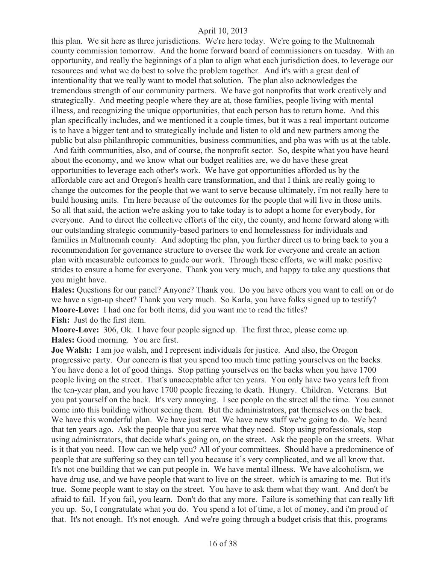this plan. We sit here as three jurisdictions. We're here today. We're going to the Multnomah county commission tomorrow. And the home forward board of commissioners on tuesday. With an opportunity, and really the beginnings of a plan to align what each jurisdiction does, to leverage our resources and what we do best to solve the problem together. And it's with a great deal of intentionality that we really want to model that solution. The plan also acknowledges the tremendous strength of our community partners. We have got nonprofits that work creatively and strategically. And meeting people where they are at, those families, people living with mental illness, and recognizing the unique opportunities, that each person has to return home. And this plan specifically includes, and we mentioned it a couple times, but it was a real important outcome is to have a bigger tent and to strategically include and listen to old and new partners among the public but also philanthropic communities, business communities, and pba was with us at the table. And faith communities, also, and of course, the nonprofit sector. So, despite what you have heard about the economy, and we know what our budget realities are, we do have these great opportunities to leverage each other's work. We have got opportunities afforded us by the affordable care act and Oregon's health care transformation, and that I think are really going to change the outcomes for the people that we want to serve because ultimately, i'm not really here to build housing units. I'm here because of the outcomes for the people that will live in those units. So all that said, the action we're asking you to take today is to adopt a home for everybody, for everyone. And to direct the collective efforts of the city, the county, and home forward along with our outstanding strategic community-based partners to end homelessness for individuals and families in Multnomah county. And adopting the plan, you further direct us to bring back to you a recommendation for governance structure to oversee the work for everyone and create an action

plan with measurable outcomes to guide our work. Through these efforts, we will make positive strides to ensure a home for everyone. Thank you very much, and happy to take any questions that you might have.

**Hales:** Questions for our panel? Anyone? Thank you. Do you have others you want to call on or do we have a sign-up sheet? Thank you very much. So Karla, you have folks signed up to testify? **Moore-Love:** I had one for both items, did you want me to read the titles? **Fish:** Just do the first item.

**Moore-Love:** 306, Ok. I have four people signed up. The first three, please come up. **Hales:** Good morning. You are first.

**Joe Walsh:** I am joe walsh, and I represent individuals for justice. And also, the Oregon progressive party. Our concern is that you spend too much time patting yourselves on the backs. You have done a lot of good things. Stop patting yourselves on the backs when you have 1700 people living on the street. That's unacceptable after ten years. You only have two years left from the ten-year plan, and you have 1700 people freezing to death. Hungry. Children. Veterans. But you pat yourself on the back. It's very annoying. I see people on the street all the time. You cannot come into this building without seeing them. But the administrators, pat themselves on the back. We have this wonderful plan. We have just met. We have new stuff we're going to do. We heard that ten years ago. Ask the people that you serve what they need. Stop using professionals, stop using administrators, that decide what's going on, on the street. Ask the people on the streets. What is it that you need. How can we help you? All of your committees. Should have a predominence of people that are suffering so they can tell you because it's very complicated, and we all know that. It's not one building that we can put people in. We have mental illness. We have alcoholism, we have drug use, and we have people that want to live on the street. which is amazing to me. But it's true. Some people want to stay on the street. You have to ask them what they want. And don't be afraid to fail. If you fail, you learn. Don't do that any more. Failure is something that can really lift you up. So, I congratulate what you do. You spend a lot of time, a lot of money, and i'm proud of that. It's not enough. It's not enough. And we're going through a budget crisis that this, programs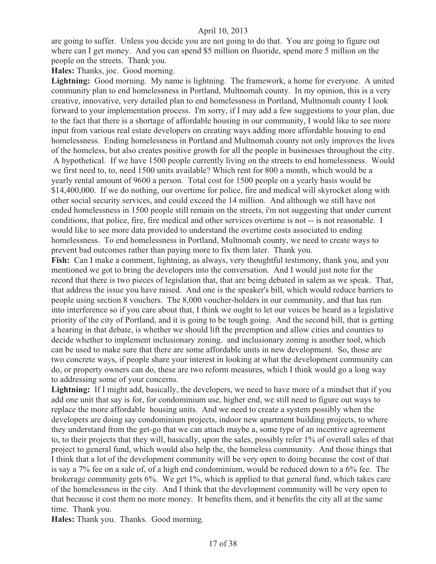are going to suffer. Unless you decide you are not going to do that. You are going to figure out where can I get money. And you can spend \$5 million on fluoride, spend more 5 million on the people on the streets. Thank you.

**Hales:** Thanks, joe. Good morning.

**Lightning:** Good morning. My name is lightning. The framework, a home for everyone. A united community plan to end homelessness in Portland, Multnomah county. In my opinion, this is a very creative, innovative, very detailed plan to end homelessness in Portland, Multnomah county I look forward to your implementation process. I'm sorry, if I may add a few suggestions to your plan, due to the fact that there is a shortage of affordable housing in our community, I would like to see more input from various real estate developers on creating ways adding more affordable housing to end homelessness. Ending homelessness in Portland and Multnomah county not only improves the lives of the homeless, but also creates positive growth for all the people in businesses throughout the city.

 A hypothetical. If we have 1500 people currently living on the streets to end homelessness. Would we first need to, to, need 1500 units available? Which rent for 800 a month, which would be a yearly rental amount of 9600 a person. Total cost for 1500 people on a yearly basis would be \$14,400,000. If we do nothing, our overtime for police, fire and medical will skyrocket along with other social security services, and could exceed the 14 million. And although we still have not ended homelessness in 1500 people still remain on the streets, i'm not suggesting that under current conditions, that police, fire, fire medical and other services overtime is not -- is not reasonable. I would like to see more data provided to understand the overtime costs associated to ending homelessness. To end homelessness in Portland, Multnomah county, we need to create ways to prevent bad outcomes rather than paying more to fix them later. Thank you.

**Fish:** Can I make a comment, lightning, as always, very thoughtful testimony, thank you, and you mentioned we got to bring the developers into the conversation. And I would just note for the record that there is two pieces of legislation that, that are being debated in salem as we speak. That, that address the issue you have raised. And one is the speaker's bill, which would reduce barriers to people using section 8 vouchers. The 8,000 voucher-holders in our community, and that has run into interference so if you care about that, I think we ought to let our voices be heard as a legislative priority of the city of Portland, and it is going to be tough going. And the second bill, that is getting a hearing in that debate, is whether we should lift the preemption and allow cities and counties to decide whether to implement inclusionary zoning. and inclusionary zoning is another tool, which can be used to make sure that there are some affordable units in new development. So, those are two concrete ways, if people share your interest in looking at what the development community can do, or property owners can do, these are two reform measures, which I think would go a long way to addressing some of your concerns.

**Lightning:** If I might add, basically, the developers, we need to have more of a mindset that if you add one unit that say is for, for condominium use, higher end, we still need to figure out ways to replace the more affordable housing units. And we need to create a system possibly when the developers are doing say condominium projects, indoor new apartment building projects, to where they understand from the get-go that we can attach maybe a, some type of an incentive agreement to, to their projects that they will, basically, upon the sales, possibly refer 1% of overall sales of that project to general fund, which would also help the, the homeless community. And those things that I think that a lot of the development community will be very open to doing because the cost of that is say a 7% fee on a sale of, of a high end condominium, would be reduced down to a 6% fee. The brokerage community gets 6%. We get 1%, which is applied to that general fund, which takes care of the homelessness in the city. And I think that the development community will be very open to that because it cost them no more money. It benefits them, and it benefits the city all at the same time. Thank you.

**Hales:** Thank you. Thanks. Good morning.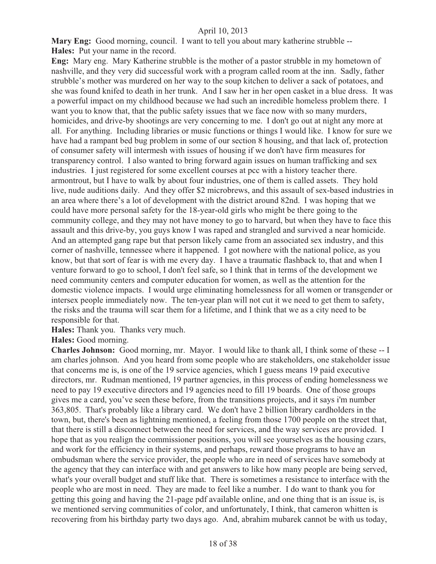**Mary Eng:** Good morning, council. I want to tell you about mary katherine strubble -- **Hales:** Put your name in the record.

**Eng:** Mary eng. Mary Katherine strubble is the mother of a pastor strubble in my hometown of nashville, and they very did successful work with a program called room at the inn. Sadly, father strubble's mother was murdered on her way to the soup kitchen to deliver a sack of potatoes, and she was found knifed to death in her trunk. And I saw her in her open casket in a blue dress. It was a powerful impact on my childhood because we had such an incredible homeless problem there. I want you to know that, that the public safety issues that we face now with so many murders, homicides, and drive-by shootings are very concerning to me. I don't go out at night any more at all. For anything. Including libraries or music functions or things I would like. I know for sure we have had a rampant bed bug problem in some of our section 8 housing, and that lack of, protection of consumer safety will intermesh with issues of housing if we don't have firm measures for transparency control. I also wanted to bring forward again issues on human trafficking and sex industries. I just registered for some excellent courses at pcc with a history teacher there. armontrout, but I have to walk by about four industries, one of them is called assets. They hold live, nude auditions daily. And they offer \$2 microbrews, and this assault of sex-based industries in an area where there's a lot of development with the district around 82nd. I was hoping that we could have more personal safety for the 18-year-old girls who might be there going to the community college, and they may not have money to go to harvard, but when they have to face this assault and this drive-by, you guys know I was raped and strangled and survived a near homicide. And an attempted gang rape but that person likely came from an associated sex industry, and this corner of nashville, tennessee where it happened. I got nowhere with the national police, as you know, but that sort of fear is with me every day. I have a traumatic flashback to, that and when I venture forward to go to school, I don't feel safe, so I think that in terms of the development we need community centers and computer education for women, as well as the attention for the domestic violence impacts. I would urge eliminating homelessness for all women or transgender or intersex people immediately now. The ten-year plan will not cut it we need to get them to safety, the risks and the trauma will scar them for a lifetime, and I think that we as a city need to be responsible for that.

**Hales:** Thank you. Thanks very much.

**Hales:** Good morning.

**Charles Johnson:** Good morning, mr. Mayor. I would like to thank all, I think some of these -- I am charles johnson. And you heard from some people who are stakeholders, one stakeholder issue that concerns me is, is one of the 19 service agencies, which I guess means 19 paid executive directors, mr. Rudman mentioned, 19 partner agencies, in this process of ending homelessness we need to pay 19 executive directors and 19 agencies need to fill 19 boards. One of those groups gives me a card, you've seen these before, from the transitions projects, and it says i'm number 363,805. That's probably like a library card. We don't have 2 billion library cardholders in the town, but, there's been as lightning mentioned, a feeling from those 1700 people on the street that, that there is still a disconnect between the need for services, and the way services are provided. I hope that as you realign the commissioner positions, you will see yourselves as the housing czars, and work for the efficiency in their systems, and perhaps, reward those programs to have an ombudsman where the service provider, the people who are in need of services have somebody at the agency that they can interface with and get answers to like how many people are being served, what's your overall budget and stuff like that. There is sometimes a resistance to interface with the people who are most in need. They are made to feel like a number. I do want to thank you for getting this going and having the 21-page pdf available online, and one thing that is an issue is, is we mentioned serving communities of color, and unfortunately, I think, that cameron whitten is recovering from his birthday party two days ago. And, abrahim mubarek cannot be with us today,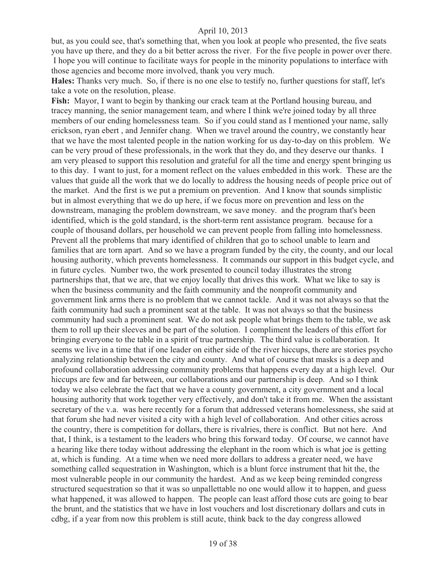but, as you could see, that's something that, when you look at people who presented, the five seats you have up there, and they do a bit better across the river. For the five people in power over there. I hope you will continue to facilitate ways for people in the minority populations to interface with those agencies and become more involved, thank you very much.

**Hales:** Thanks very much. So, if there is no one else to testify no, further questions for staff, let's take a vote on the resolution, please.

**Fish:** Mayor, I want to begin by thanking our crack team at the Portland housing bureau, and tracey manning, the senior management team, and where I think we're joined today by all three members of our ending homelessness team. So if you could stand as I mentioned your name, sally erickson, ryan ebert , and Jennifer chang. When we travel around the country, we constantly hear that we have the most talented people in the nation working for us day-to-day on this problem. We can be very proud of these professionals, in the work that they do, and they deserve our thanks. I am very pleased to support this resolution and grateful for all the time and energy spent bringing us to this day. I want to just, for a moment reflect on the values embedded in this work. These are the values that guide all the work that we do locally to address the housing needs of people price out of the market. And the first is we put a premium on prevention. And I know that sounds simplistic but in almost everything that we do up here, if we focus more on prevention and less on the downstream, managing the problem downstream, we save money. and the program that's been identified, which is the gold standard, is the short-term rent assistance program. because for a couple of thousand dollars, per household we can prevent people from falling into homelessness. Prevent all the problems that mary identified of children that go to school unable to learn and families that are torn apart. And so we have a program funded by the city, the county, and our local housing authority, which prevents homelessness. It commands our support in this budget cycle, and in future cycles. Number two, the work presented to council today illustrates the strong partnerships that, that we are, that we enjoy locally that drives this work. What we like to say is when the business community and the faith community and the nonprofit community and government link arms there is no problem that we cannot tackle. And it was not always so that the faith community had such a prominent seat at the table. It was not always so that the business community had such a prominent seat. We do not ask people what brings them to the table, we ask them to roll up their sleeves and be part of the solution. I compliment the leaders of this effort for bringing everyone to the table in a spirit of true partnership. The third value is collaboration. It seems we live in a time that if one leader on either side of the river hiccups, there are stories psycho analyzing relationship between the city and county. And what of course that masks is a deep and profound collaboration addressing community problems that happens every day at a high level. Our hiccups are few and far between, our collaborations and our partnership is deep. And so I think today we also celebrate the fact that we have a county government, a city government and a local housing authority that work together very effectively, and don't take it from me. When the assistant secretary of the v.a. was here recently for a forum that addressed veterans homelessness, she said at that forum she had never visited a city with a high level of collaboration. And other cities across the country, there is competition for dollars, there is rivalries, there is conflict. But not here. And that, I think, is a testament to the leaders who bring this forward today. Of course, we cannot have a hearing like there today without addressing the elephant in the room which is what joe is getting at, which is funding. At a time when we need more dollars to address a greater need, we have something called sequestration in Washington, which is a blunt force instrument that hit the, the most vulnerable people in our community the hardest. And as we keep being reminded congress structured sequestration so that it was so unpallettable no one would allow it to happen, and guess what happened, it was allowed to happen. The people can least afford those cuts are going to bear the brunt, and the statistics that we have in lost vouchers and lost discretionary dollars and cuts in cdbg, if a year from now this problem is still acute, think back to the day congress allowed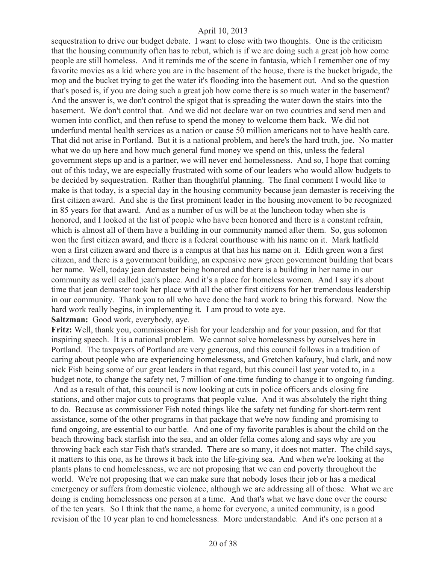sequestration to drive our budget debate. I want to close with two thoughts. One is the criticism that the housing community often has to rebut, which is if we are doing such a great job how come people are still homeless. And it reminds me of the scene in fantasia, which I remember one of my favorite movies as a kid where you are in the basement of the house, there is the bucket brigade, the mop and the bucket trying to get the water it's flooding into the basement out. And so the question that's posed is, if you are doing such a great job how come there is so much water in the basement? And the answer is, we don't control the spigot that is spreading the water down the stairs into the basement. We don't control that. And we did not declare war on two countries and send men and women into conflict, and then refuse to spend the money to welcome them back. We did not underfund mental health services as a nation or cause 50 million americans not to have health care. That did not arise in Portland. But it is a national problem, and here's the hard truth, joe. No matter what we do up here and how much general fund money we spend on this, unless the federal government steps up and is a partner, we will never end homelessness. And so, I hope that coming out of this today, we are especially frustrated with some of our leaders who would allow budgets to be decided by sequestration. Rather than thoughtful planning. The final comment I would like to make is that today, is a special day in the housing community because jean demaster is receiving the first citizen award. And she is the first prominent leader in the housing movement to be recognized in 85 years for that award. And as a number of us will be at the luncheon today when she is honored, and I looked at the list of people who have been honored and there is a constant refrain, which is almost all of them have a building in our community named after them. So, gus solomon won the first citizen award, and there is a federal courthouse with his name on it. Mark hatfield won a first citizen award and there is a campus at that has his name on it. Edith green won a first citizen, and there is a government building, an expensive now green government building that bears her name. Well, today jean demaster being honored and there is a building in her name in our community as well called jean's place. And it's a place for homeless women. And I say it's about time that jean demaster took her place with all the other first citizens for her tremendous leadership in our community. Thank you to all who have done the hard work to bring this forward. Now the hard work really begins, in implementing it. I am proud to vote aye.

**Saltzman:** Good work, everybody, aye.

**Fritz:** Well, thank you, commissioner Fish for your leadership and for your passion, and for that inspiring speech. It is a national problem. We cannot solve homelessness by ourselves here in Portland. The taxpayers of Portland are very generous, and this council follows in a tradition of caring about people who are experiencing homelessness, and Gretchen kafoury, bud clark, and now nick Fish being some of our great leaders in that regard, but this council last year voted to, in a budget note, to change the safety net, 7 million of one-time funding to change it to ongoing funding. And as a result of that, this council is now looking at cuts in police officers ands closing fire stations, and other major cuts to programs that people value. And it was absolutely the right thing to do. Because as commissioner Fish noted things like the safety net funding for short-term rent assistance, some of the other programs in that package that we're now funding and promising to fund ongoing, are essential to our battle. And one of my favorite parables is about the child on the beach throwing back starfish into the sea, and an older fella comes along and says why are you throwing back each star Fish that's stranded. There are so many, it does not matter. The child says, it matters to this one, as he throws it back into the life-giving sea. And when we're looking at the plants plans to end homelessness, we are not proposing that we can end poverty throughout the world. We're not proposing that we can make sure that nobody loses their job or has a medical emergency or suffers from domestic violence, although we are addressing all of those. What we are doing is ending homelessness one person at a time. And that's what we have done over the course of the ten years. So I think that the name, a home for everyone, a united community, is a good

revision of the 10 year plan to end homelessness. More understandable. And it's one person at a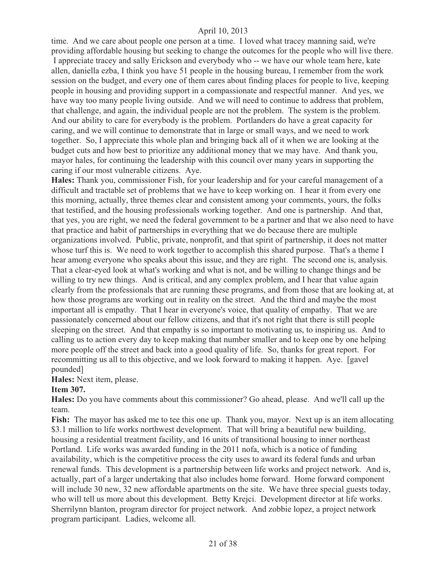time. And we care about people one person at a time. I loved what tracey manning said, we're providing affordable housing but seeking to change the outcomes for the people who will live there. I appreciate tracey and sally Erickson and everybody who -- we have our whole team here, kate allen, daniella ezba, I think you have 51 people in the housing bureau, I remember from the work session on the budget, and every one of them cares about finding places for people to live, keeping people in housing and providing support in a compassionate and respectful manner. And yes, we have way too many people living outside. And we will need to continue to address that problem, that challenge, and again, the individual people are not the problem. The system is the problem. And our ability to care for everybody is the problem. Portlanders do have a great capacity for caring, and we will continue to demonstrate that in large or small ways, and we need to work together. So, I appreciate this whole plan and bringing back all of it when we are looking at the budget cuts and how best to prioritize any additional money that we may have. And thank you, mayor hales, for continuing the leadership with this council over many years in supporting the caring if our most vulnerable citizens. Aye.

**Hales:** Thank you, commissioner Fish, for your leadership and for your careful management of a difficult and tractable set of problems that we have to keep working on. I hear it from every one this morning, actually, three themes clear and consistent among your comments, yours, the folks that testified, and the housing professionals working together. And one is partnership. And that, that yes, you are right, we need the federal government to be a partner and that we also need to have that practice and habit of partnerships in everything that we do because there are multiple organizations involved. Public, private, nonprofit, and that spirit of partnership, it does not matter whose turf this is. We need to work together to accomplish this shared purpose. That's a theme I hear among everyone who speaks about this issue, and they are right. The second one is, analysis. That a clear-eyed look at what's working and what is not, and be willing to change things and be willing to try new things. And is critical, and any complex problem, and I hear that value again clearly from the professionals that are running these programs, and from those that are looking at, at how those programs are working out in reality on the street. And the third and maybe the most important all is empathy. That I hear in everyone's voice, that quality of empathy. That we are passionately concerned about our fellow citizens, and that it's not right that there is still people sleeping on the street. And that empathy is so important to motivating us, to inspiring us. And to calling us to action every day to keep making that number smaller and to keep one by one helping more people off the street and back into a good quality of life. So, thanks for great report. For recommitting us all to this objective, and we look forward to making it happen. Aye. [gavel pounded]

#### **Hales:** Next item, please.

#### **Item 307.**

**Hales:** Do you have comments about this commissioner? Go ahead, please. And we'll call up the team.

**Fish:** The mayor has asked me to tee this one up. Thank you, mayor. Next up is an item allocating \$3.1 million to life works northwest development. That will bring a beautiful new building, housing a residential treatment facility, and 16 units of transitional housing to inner northeast Portland. Life works was awarded funding in the 2011 nofa, which is a notice of funding availability, which is the competitive process the city uses to award its federal funds and urban renewal funds. This development is a partnership between life works and project network. And is, actually, part of a larger undertaking that also includes home forward. Home forward component will include 30 new, 32 new affordable apartments on the site. We have three special guests today, who will tell us more about this development. Betty Krejci. Development director at life works. Sherrilynn blanton, program director for project network. And zobbie lopez, a project network program participant. Ladies, welcome all.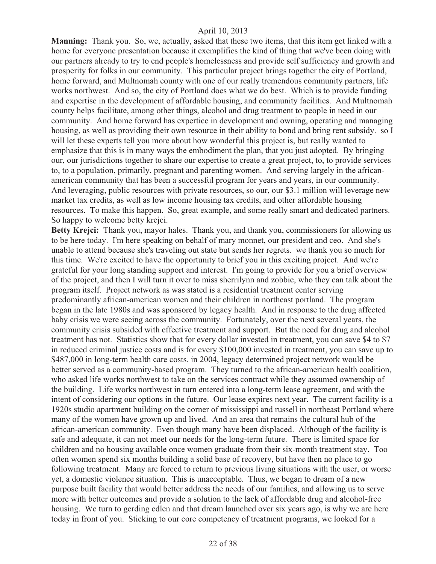**Manning:** Thank you. So, we, actually, asked that these two items, that this item get linked with a home for everyone presentation because it exemplifies the kind of thing that we've been doing with our partners already to try to end people's homelessness and provide self sufficiency and growth and prosperity for folks in our community. This particular project brings together the city of Portland, home forward, and Multnomah county with one of our really tremendous community partners, life works northwest. And so, the city of Portland does what we do best. Which is to provide funding and expertise in the development of affordable housing, and community facilities. And Multnomah county helps facilitate, among other things, alcohol and drug treatment to people in need in our community. And home forward has expertice in development and owning, operating and managing housing, as well as providing their own resource in their ability to bond and bring rent subsidy. so I will let these experts tell you more about how wonderful this project is, but really wanted to emphasize that this is in many ways the embodiment the plan, that you just adopted. By bringing our, our jurisdictions together to share our expertise to create a great project, to, to provide services to, to a population, primarily, pregnant and parenting women. And serving largely in the africanamerican community that has been a successful program for years and years, in our community. And leveraging, public resources with private resources, so our, our \$3.1 million will leverage new market tax credits, as well as low income housing tax credits, and other affordable housing resources. To make this happen. So, great example, and some really smart and dedicated partners. So happy to welcome betty krejci.

**Betty Krejci:** Thank you, mayor hales. Thank you, and thank you, commissioners for allowing us to be here today. I'm here speaking on behalf of mary monnet, our president and ceo. And she's unable to attend because she's traveling out state but sends her regrets. we thank you so much for this time. We're excited to have the opportunity to brief you in this exciting project. And we're grateful for your long standing support and interest. I'm going to provide for you a brief overview of the project, and then I will turn it over to miss sherrilynn and zobbie, who they can talk about the program itself. Project network as was stated is a residential treatment center serving predominantly african-american women and their children in northeast portland. The program began in the late 1980s and was sponsored by legacy health. And in response to the drug affected baby crisis we were seeing across the community. Fortunately, over the next several years, the community crisis subsided with effective treatment and support. But the need for drug and alcohol treatment has not. Statistics show that for every dollar invested in treatment, you can save \$4 to \$7 in reduced criminal justice costs and is for every \$100,000 invested in treatment, you can save up to \$487,000 in long-term health care costs. in 2004, legacy determined project network would be better served as a community-based program. They turned to the african-american health coalition, who asked life works northwest to take on the services contract while they assumed ownership of the building. Life works northwest in turn entered into a long-term lease agreement, and with the intent of considering our options in the future. Our lease expires next year. The current facility is a 1920s studio apartment building on the corner of mississippi and russell in northeast Portland where many of the women have grown up and lived. And an area that remains the cultural hub of the african-american community. Even though many have been displaced. Although of the facility is safe and adequate, it can not meet our needs for the long-term future. There is limited space for children and no housing available once women graduate from their six-month treatment stay. Too often women spend six months building a solid base of recovery, but have then no place to go following treatment. Many are forced to return to previous living situations with the user, or worse yet, a domestic violence situation. This is unacceptable. Thus, we began to dream of a new purpose built facility that would better address the needs of our families, and allowing us to serve more with better outcomes and provide a solution to the lack of affordable drug and alcohol-free housing. We turn to gerding edlen and that dream launched over six years ago, is why we are here today in front of you. Sticking to our core competency of treatment programs, we looked for a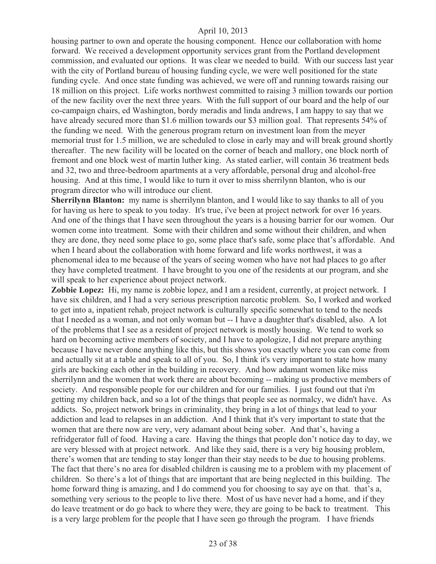housing partner to own and operate the housing component. Hence our collaboration with home forward. We received a development opportunity services grant from the Portland development commission, and evaluated our options. It was clear we needed to build. With our success last year with the city of Portland bureau of housing funding cycle, we were well positioned for the state funding cycle. And once state funding was achieved, we were off and running towards raising our 18 million on this project. Life works northwest committed to raising 3 million towards our portion of the new facility over the next three years. With the full support of our board and the help of our co-campaign chairs, ed Washington, bordy meradis and linda andrews, I am happy to say that we have already secured more than \$1.6 million towards our \$3 million goal. That represents 54% of the funding we need. With the generous program return on investment loan from the meyer memorial trust for 1.5 million, we are scheduled to close in early may and will break ground shortly thereafter. The new facility will be located on the corner of beach and mallory, one block north of fremont and one block west of martin luther king. As stated earlier, will contain 36 treatment beds and 32, two and three-bedroom apartments at a very affordable, personal drug and alcohol-free housing. And at this time, I would like to turn it over to miss sherrilynn blanton, who is our program director who will introduce our client.

**Sherrilynn Blanton:** my name is sherrilynn blanton, and I would like to say thanks to all of you for having us here to speak to you today. It's true, i've been at project network for over 16 years. And one of the things that I have seen throughout the years is a housing barrier for our women. Our women come into treatment. Some with their children and some without their children, and when they are done, they need some place to go, some place that's safe, some place that's affordable. And when I heard about the collaboration with home forward and life works northwest, it was a phenomenal idea to me because of the years of seeing women who have not had places to go after they have completed treatment. I have brought to you one of the residents at our program, and she will speak to her experience about project network.

**Zobbie Lopez:** Hi, my name is zobbie lopez, and I am a resident, currently, at project network. I have six children, and I had a very serious prescription narcotic problem. So, I worked and worked to get into a, inpatient rehab, project network is culturally specific somewhat to tend to the needs that I needed as a woman, and not only woman but -- I have a daughter that's disabled, also. A lot of the problems that I see as a resident of project network is mostly housing. We tend to work so hard on becoming active members of society, and I have to apologize, I did not prepare anything because I have never done anything like this, but this shows you exactly where you can come from and actually sit at a table and speak to all of you. So, I think it's very important to state how many girls are backing each other in the building in recovery. And how adamant women like miss sherrilynn and the women that work there are about becoming -- making us productive members of society. And responsible people for our children and for our families. I just found out that i'm getting my children back, and so a lot of the things that people see as normalcy, we didn't have. As addicts. So, project network brings in criminality, they bring in a lot of things that lead to your addiction and lead to relapses in an addiction. And I think that it's very important to state that the women that are there now are very, very adamant about being sober. And that's, having a refridgerator full of food. Having a care. Having the things that people don't notice day to day, we are very blessed with at project network. And like they said, there is a very big housing problem, there's women that are tending to stay longer than their stay needs to be due to housing problems. The fact that there's no area for disabled children is causing me to a problem with my placement of children. So there's a lot of things that are important that are being neglected in this building. The home forward thing is amazing, and I do commend you for choosing to say aye on that. that's a, something very serious to the people to live there. Most of us have never had a home, and if they do leave treatment or do go back to where they were, they are going to be back to treatment. This is a very large problem for the people that I have seen go through the program. I have friends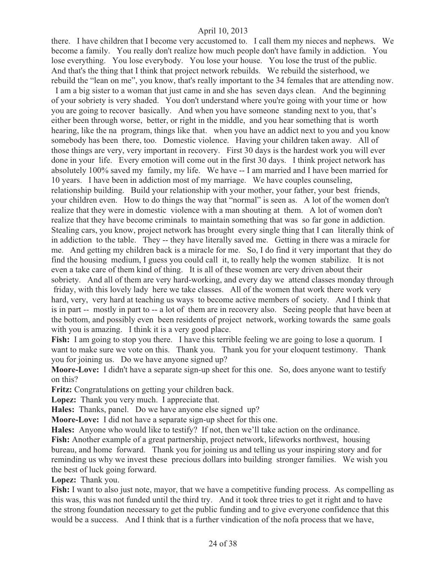there. I have children that I become very accustomed to. I call them my nieces and nephews. We become a family. You really don't realize how much people don't have family in addiction. You lose everything. You lose everybody. You lose your house. You lose the trust of the public. And that's the thing that I think that project network rebuilds. We rebuild the sisterhood, we rebuild the "lean on me", you know, that's really important to the 34 females that are attending now.

 I am a big sister to a woman that just came in and she has seven days clean. And the beginning of your sobriety is very shaded. You don't understand where you're going with your time or how you are going to recover basically. And when you have someone standing next to you, that's either been through worse, better, or right in the middle, and you hear something that is worth hearing, like the na program, things like that. when you have an addict next to you and you know somebody has been there, too. Domestic violence. Having your children taken away. All of those things are very, very important in recovery. First 30 days is the hardest work you will ever done in your life. Every emotion will come out in the first 30 days. I think project network has absolutely 100% saved my family, my life. We have -- I am married and I have been married for 10 years. I have been in addiction most of my marriage. We have couples counseling, relationship building. Build your relationship with your mother, your father, your best friends, your children even. How to do things the way that "normal" is seen as. A lot of the women don't realize that they were in domestic violence with a man shouting at them. A lot of women don't realize that they have become criminals to maintain something that was so far gone in addiction. Stealing cars, you know, project network has brought every single thing that I can literally think of in addiction to the table. They -- they have literally saved me. Getting in there was a miracle for me. And getting my children back is a miracle for me. So, I do find it very important that they do find the housing medium, I guess you could call it, to really help the women stabilize. It is not even a take care of them kind of thing. It is all of these women are very driven about their sobriety. And all of them are very hard-working, and every day we attend classes monday through friday, with this lovely lady here we take classes. All of the women that work there work very hard, very, very hard at teaching us ways to become active members of society. And I think that is in part -- mostly in part to -- a lot of them are in recovery also. Seeing people that have been at the bottom, and possibly even been residents of project network, working towards the same goals with you is amazing. I think it is a very good place.

**Fish:** I am going to stop you there. I have this terrible feeling we are going to lose a quorum. I want to make sure we vote on this. Thank you. Thank you for your eloquent testimony. Thank you for joining us. Do we have anyone signed up?

**Moore-Love:** I didn't have a separate sign-up sheet for this one. So, does anyone want to testify on this?

**Fritz:** Congratulations on getting your children back.

**Lopez:** Thank you very much. I appreciate that.

**Hales:** Thanks, panel. Do we have anyone else signed up?

**Moore-Love:** I did not have a separate sign-up sheet for this one.

**Hales:** Anyone who would like to testify? If not, then we'll take action on the ordinance.

**Fish:** Another example of a great partnership, project network, lifeworks northwest, housing bureau, and home forward. Thank you for joining us and telling us your inspiring story and for reminding us why we invest these precious dollars into building stronger families. We wish you the best of luck going forward.

#### **Lopez:** Thank you.

Fish: I want to also just note, mayor, that we have a competitive funding process. As compelling as this was, this was not funded until the third try. And it took three tries to get it right and to have the strong foundation necessary to get the public funding and to give everyone confidence that this would be a success. And I think that is a further vindication of the nofa process that we have,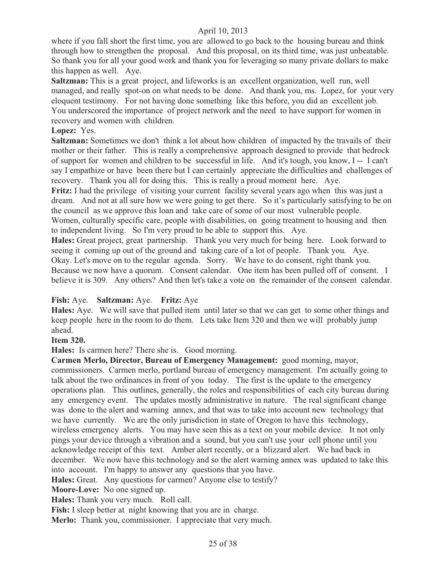where if you fall short the first time, you are allowed to go back to the housing bureau and think through how to strengthen the proposal. And this proposal, on its third time, was just unbeatable. So thank you for all your good work and thank you for leveraging so many private dollars to make this happen as well. Aye.

**Saltzman:** This is a great project, and lifeworks is an excellent organization, well run, well managed, and really spot-on on what needs to be done. And thank you, ms. Lopez, for your very eloquent testimony. For not having done something like this before, you did an excellent job. You underscored the importance of project network and the need to have support for women in recovery and women with children.

#### **Lopez:** Yes.

**Saltzman:** Sometimes we don't think a lot about how children of impacted by the travails of their mother or their father. This is really a comprehensive approach designed to provide that bedrock of support for women and children to be successful in life. And it's tough, you know, I -- I can't say I empathize or have been there but I can certainly appreciate the difficulties and challenges of recovery. Thank you all for doing this. This is really a proud moment here. Aye.

**Fritz:** I had the privilege of visiting your current facility several years ago when this was just a dream. And not at all sure how we were going to get there. So it's particularly satisfying to be on the council as we approve this loan and take care of some of our most vulnerable people. Women, culturally specific care, people with disabilities, on going treatment to housing and then to independent living. So I'm very proud to be able to support this. Aye.

**Hales:** Great project, great partnership. Thank you very much for being here. Look forward to seeing it coming up out of the ground and taking care of a lot of people. Thank you. Aye. Okay. Let's move on to the regular agenda. Sorry. We have to do consent, right thank you. Because we now have a quorum. Consent calendar. One item has been pulled off of consent. I believe it is 309. Any others? And then let's take a vote on the remainder of the consent calendar.

#### **Fish:** Aye. **Saltzman:** Aye. **Fritz:** Aye

**Hales:** Aye. We will save that pulled item until later so that we can get to some other things and keep people here in the room to do them. Lets take Item 320 and then we will probably jump ahead.

#### **Item 320.**

**Hales:** Is carmen here? There she is. Good morning.

**Carmen Merlo, Director, Bureau of Emergency Management:** good morning, mayor, commissioners. Carmen merlo, portland bureau of emergency management. I'm actually going to talk about the two ordinances in front of you today. The first is the update to the emergency operations plan. This outlines, generally, the roles and responsibilities of each city bureau during any emergency event. The updates mostly administrative in nature. The real significant change was done to the alert and warning annex, and that was to take into account new technology that we have currently. We are the only jurisdiction in state of Oregon to have this technology, wireless emergency alerts. You may have seen this as a text on your mobile device. It not only pings your device through a vibration and a sound, but you can't use your cell phone until you acknowledge receipt of this text. Amber alert recently, or a blizzard alert. We had back in december. We now have this technology and so the alert warning annex was updated to take this into account. I'm happy to answer any questions that you have.

**Hales:** Great. Any questions for carmen? Anyone else to testify?

**Moore-Love:** No one signed up.

**Hales:** Thank you very much. Roll call.

**Fish:** I sleep better at night knowing that you are in charge.

**Merlo:** Thank you, commissioner. I appreciate that very much.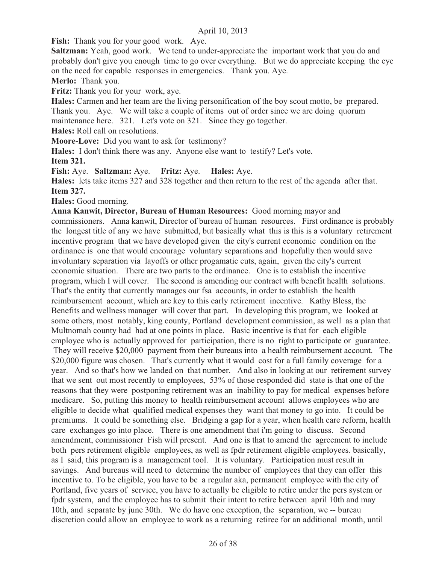Fish: Thank you for your good work. Aye.

**Saltzman:** Yeah, good work. We tend to under-appreciate the important work that you do and probably don't give you enough time to go over everything. But we do appreciate keeping the eye on the need for capable responses in emergencies. Thank you. Aye.

**Merlo:** Thank you.

**Fritz:** Thank you for your work, aye.

**Hales:** Carmen and her team are the living personification of the boy scout motto, be prepared. Thank you. Aye. We will take a couple of items out of order since we are doing quorum maintenance here. 321. Let's vote on 321. Since they go together.

**Hales:** Roll call on resolutions.

**Moore-Love:** Did you want to ask for testimony?

**Hales:** I don't think there was any. Anyone else want to testify? Let's vote.

**Item 321.**

**Fish:** Aye. **Saltzman:** Aye. **Fritz:** Aye. **Hales:** Aye.

**Hales:** lets take items 327 and 328 together and then return to the rest of the agenda after that. **Item 327.**

**Hales:** Good morning.

**Anna Kanwit, Director, Bureau of Human Resources:** Good morning mayor and commissioners. Anna kanwit, Director of bureau of human resources. First ordinance is probably the longest title of any we have submitted, but basically what this is this is a voluntary retirement incentive program that we have developed given the city's current economic condition on the ordinance is one that would encourage voluntary separations and hopefully then would save involuntary separation via layoffs or other progamatic cuts, again, given the city's current economic situation. There are two parts to the ordinance. One is to establish the incentive program, which I will cover. The second is amending our contract with benefit health solutions. That's the entity that currently manages our fsa accounts, in order to establish the health reimbursement account, which are key to this early retirement incentive. Kathy Bless, the Benefits and wellness manager will cover that part. In developing this program, we looked at some others, most notably, king county, Portland development commission, as well as a plan that Multnomah county had had at one points in place. Basic incentive is that for each eligible employee who is actually approved for participation, there is no right to participate or guarantee. They will receive \$20,000 payment from their bureaus into a health reimbursement account. The \$20,000 figure was chosen. That's currently what it would cost for a full family coverage for a year. And so that's how we landed on that number. And also in looking at our retirement survey that we sent out most recently to employees, 53% of those responded did state is that one of the reasons that they were postponing retirement was an inability to pay for medical expenses before medicare. So, putting this money to health reimbursement account allows employees who are eligible to decide what qualified medical expenses they want that money to go into. It could be premiums. It could be something else. Bridging a gap for a year, when health care reform, health care exchanges go into place. There is one amendment that i'm going to discuss. Second amendment, commissioner Fish will present. And one is that to amend the agreement to include both pers retirement eligible employees, as well as fpdr retirement eligible employees. basically, as I said, this program is a management tool. It is voluntary. Participation must result in savings. And bureaus will need to determine the number of employees that they can offer this incentive to. To be eligible, you have to be a regular aka, permanent employee with the city of Portland, five years of service, you have to actually be eligible to retire under the pers system or fpdr system, and the employee has to submit their intent to retire between april 10th and may 10th, and separate by june 30th. We do have one exception, the separation, we -- bureau discretion could allow an employee to work as a returning retiree for an additional month, until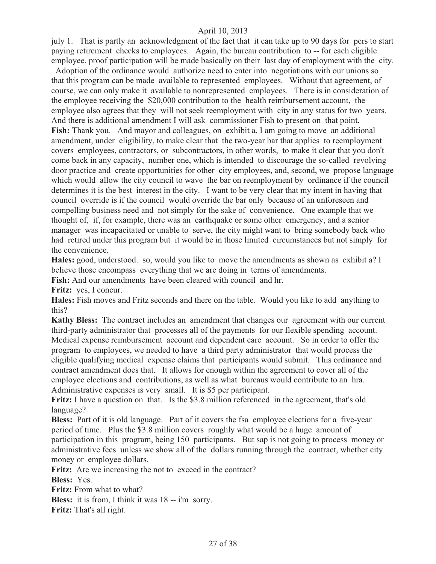july 1. That is partly an acknowledgment of the fact that it can take up to 90 days for pers to start paying retirement checks to employees. Again, the bureau contribution to -- for each eligible employee, proof participation will be made basically on their last day of employment with the city.

 Adoption of the ordinance would authorize need to enter into negotiations with our unions so that this program can be made available to represented employees. Without that agreement, of course, we can only make it available to nonrepresented employees. There is in consideration of the employee receiving the \$20,000 contribution to the health reimbursement account, the employee also agrees that they will not seek reemployment with city in any status for two years. And there is additional amendment I will ask commissioner Fish to present on that point. **Fish:** Thank you. And mayor and colleagues, on exhibit a, I am going to move an additional amendment, under eligibility, to make clear that the two-year bar that applies to reemployment covers employees, contractors, or subcontractors, in other words, to make it clear that you don't come back in any capacity, number one, which is intended to discourage the so-called revolving door practice and create opportunities for other city employees, and, second, we propose language which would allow the city council to wave the bar on reemployment by ordinance if the council determines it is the best interest in the city. I want to be very clear that my intent in having that council override is if the council would override the bar only because of an unforeseen and compelling business need and not simply for the sake of convenience. One example that we thought of, if, for example, there was an earthquake or some other emergency, and a senior manager was incapacitated or unable to serve, the city might want to bring somebody back who had retired under this program but it would be in those limited circumstances but not simply for the convenience.

**Hales:** good, understood. so, would you like to move the amendments as shown as exhibit a? I believe those encompass everything that we are doing in terms of amendments.

**Fish:** And our amendments have been cleared with council and hr.

**Fritz:** yes, I concur.

**Hales:** Fish moves and Fritz seconds and there on the table. Would you like to add anything to this?

**Kathy Bless:** The contract includes an amendment that changes our agreement with our current third-party administrator that processes all of the payments for our flexible spending account. Medical expense reimbursement account and dependent care account. So in order to offer the program to employees, we needed to have a third party administrator that would process the eligible qualifying medical expense claims that participants would submit. This ordinance and contract amendment does that. It allows for enough within the agreement to cover all of the employee elections and contributions, as well as what bureaus would contribute to an hra. Administrative expenses is very small. It is \$5 per participant.

**Fritz:** I have a question on that. Is the \$3.8 million referenced in the agreement, that's old language?

**Bless:** Part of it is old language. Part of it covers the fsa employee elections for a five-year period of time. Plus the \$3.8 million covers roughly what would be a huge amount of participation in this program, being 150 participants. But sap is not going to process money or administrative fees unless we show all of the dollars running through the contract, whether city money or employee dollars.

Fritz: Are we increasing the not to exceed in the contract?

**Bless:** Yes.

**Fritz:** From what to what?

**Bless:** it is from, I think it was 18 -- i'm sorry.

**Fritz:** That's all right.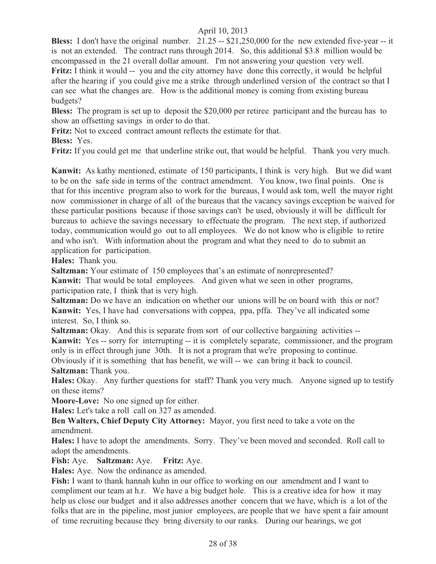**Bless:** I don't have the original number. 21.25 -- \$21,250,000 for the new extended five-year -- it is not an extended. The contract runs through 2014. So, this additional \$3.8 million would be encompassed in the 21 overall dollar amount. I'm not answering your question very well. **Fritz:** I think it would -- you and the city attorney have done this correctly, it would be helpful after the hearing if you could give me a strike through underlined version of the contract so that I can see what the changes are. How is the additional money is coming from existing bureau budgets?

**Bless:** The program is set up to deposit the \$20,000 per retiree participant and the bureau has to show an offsetting savings in order to do that.

**Fritz:** Not to exceed contract amount reflects the estimate for that.

**Bless:** Yes.

**Fritz:** If you could get me that underline strike out, that would be helpful. Thank you very much.

**Kanwit:** As kathy mentioned, estimate of 150 participants, I think is very high. But we did want to be on the safe side in terms of the contract amendment. You know, two final points. One is that for this incentive program also to work for the bureaus, I would ask tom, well the mayor right now commissioner in charge of all of the bureaus that the vacancy savings exception be waived for these particular positions because if those savings can't be used, obviously it will be difficult for bureaus to achieve the savings necessary to effectuate the program. The next step, if authorized today, communication would go out to all employees. We do not know who is eligible to retire and who isn't. With information about the program and what they need to do to submit an application for participation.

**Hales:** Thank you.

**Saltzman:** Your estimate of 150 employees that's an estimate of nonrepresented?

**Kanwit:** That would be total employees. And given what we seen in other programs, participation rate, I think that is very high.

**Saltzman:** Do we have an indication on whether our unions will be on board with this or not? **Kanwit:** Yes, I have had conversations with coppea, ppa, pffa. They've all indicated some interest. So, I think so.

**Saltzman:** Okay. And this is separate from sort of our collective bargaining activities --**Kanwit:** Yes -- sorry for interrupting -- it is completely separate, commissioner, and the program only is in effect through june 30th. It is not a program that we're proposing to continue. Obviously if it is something that has benefit, we will -- we can bring it back to council. **Saltzman:** Thank you.

**Hales:** Okay. Any further questions for staff? Thank you very much. Anyone signed up to testify on these items?

**Moore-Love:** No one signed up for either.

**Hales:** Let's take a roll call on 327 as amended.

**Ben Walters, Chief Deputy City Attorney:** Mayor, you first need to take a vote on the amendment.

**Hales:** I have to adopt the amendments. Sorry. They've been moved and seconded. Roll call to adopt the amendments.

**Fish:** Aye. **Saltzman:** Aye. **Fritz:** Aye.

**Hales:** Aye. Now the ordinance as amended.

**Fish:** I want to thank hannah kuhn in our office to working on our amendment and I want to compliment our team at h.r. We have a big budget hole. This is a creative idea for how it may help us close our budget and it also addresses another concern that we have, which is a lot of the folks that are in the pipeline, most junior employees, are people that we have spent a fair amount of time recruiting because they bring diversity to our ranks. During our hearings, we got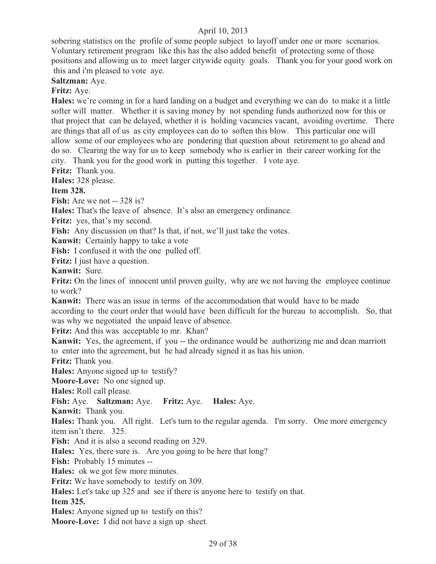sobering statistics on the profile of some people subject to layoff under one or more scenarios. Voluntary retirement program like this has the also added benefit of protecting some of those positions and allowing us to meet larger citywide equity goals. Thank you for your good work on this and i'm pleased to vote aye.

**Saltzman:** Aye.

**Fritz:** Aye.

**Hales:** we're coming in for a hard landing on a budget and everything we can do to make it a little softer will matter. Whether it is saving money by not spending funds authorized now for this or that project that can be delayed, whether it is holding vacancies vacant, avoiding overtime. There are things that all of us as city employees can do to soften this blow. This particular one will allow some of our employees who are pondering that question about retirement to go ahead and do so. Clearing the way for us to keep somebody who is earlier in their career working for the city. Thank you for the good work in putting this together. I vote aye.

**Fritz:** Thank you.

**Hales:** 328 please.

**Item 328.**

**Fish:** Are we not -- 328 is?

**Hales:** That's the leave of absence. It's also an emergency ordinance.

Fritz: yes, that's my second.

Fish: Any discussion on that? Is that, if not, we'll just take the votes.

**Kanwit:** Certainly happy to take a vote

**Fish:** I confused it with the one pulled off.

**Fritz:** I just have a question.

**Kanwit:** Sure.

**Fritz:** On the lines of innocent until proven guilty, why are we not having the employee continue to work?

**Kanwit:** There was an issue in terms of the accommodation that would have to be made according to the court order that would have been difficult for the bureau to accomplish. So, that was why we negotiated the unpaid leave of absence.

**Fritz:** And this was acceptable to mr. Khan?

**Kanwit:** Yes, the agreement, if you -- the ordinance would be authorizing me and dean marriott to enter into the agreement, but he had already signed it as has his union.

**Fritz:** Thank you.

**Hales:** Anyone signed up to testify?

**Moore-Love:** No one signed up.

**Hales:** Roll call please.

**Fish:** Aye. **Saltzman:** Aye. **Fritz:** Aye. **Hales:** Aye.

**Kanwit:** Thank you.

**Hales:** Thank you. All right. Let's turn to the regular agenda. I'm sorry. One more emergency item isn't there. 325.

Fish: And it is also a second reading on 329.

**Hales:** Yes, there sure is. Are you going to be here that long?

**Fish:** Probably 15 minutes --

**Hales:** ok we got few more minutes.

**Fritz:** We have somebody to testify on 309.

**Hales:** Let's take up 325 and see if there is anyone here to testify on that.

**Item 325.**

**Hales:** Anyone signed up to testify on this?

**Moore-Love:** I did not have a sign up sheet.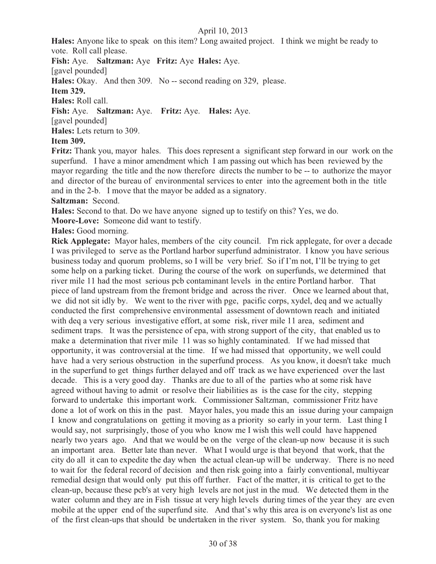**Hales:** Anyone like to speak on this item? Long awaited project. I think we might be ready to vote. Roll call please.

**Fish:** Aye. **Saltzman:** Aye **Fritz:** Aye **Hales:** Aye.

[gavel pounded]

**Hales:** Okay. And then 309. No -- second reading on 329, please.

**Item 329.**

**Hales:** Roll call.

**Fish:** Aye. **Saltzman:** Aye. **Fritz:** Aye. **Hales:** Aye.

[gavel pounded]

**Hales:** Lets return to 309.

### **Item 309.**

**Fritz:** Thank you, mayor hales. This does represent a significant step forward in our work on the superfund. I have a minor amendment which I am passing out which has been reviewed by the mayor regarding the title and the now therefore directs the number to be -- to authorize the mayor and director of the bureau of environmental services to enter into the agreement both in the title and in the 2-b. I move that the mayor be added as a signatory.

**Saltzman:** Second.

**Hales:** Second to that. Do we have anyone signed up to testify on this? Yes, we do.

**Moore-Love:** Someone did want to testify.

**Hales:** Good morning.

**Rick Applegate:** Mayor hales, members of the city council. I'm rick applegate, for over a decade I was privileged to serve as the Portland harbor superfund administrator. I know you have serious business today and quorum problems, so I will be very brief. So if I'm not, I'll be trying to get some help on a parking ticket. During the course of the work on superfunds, we determined that river mile 11 had the most serious pcb contaminant levels in the entire Portland harbor. That piece of land upstream from the fremont bridge and across the river. Once we learned about that, we did not sit idly by. We went to the river with pge, pacific corps, xydel, deq and we actually conducted the first comprehensive environmental assessment of downtown reach and initiated with deq a very serious investigative effort, at some risk, river mile 11 area, sediment and sediment traps. It was the persistence of epa, with strong support of the city, that enabled us to make a determination that river mile 11 was so highly contaminated. If we had missed that opportunity, it was controversial at the time. If we had missed that opportunity, we well could have had a very serious obstruction in the superfund process. As you know, it doesn't take much in the superfund to get things further delayed and off track as we have experienced over the last decade. This is a very good day. Thanks are due to all of the parties who at some risk have agreed without having to admit or resolve their liabilities as is the case for the city, stepping forward to undertake this important work. Commissioner Saltzman, commissioner Fritz have done a lot of work on this in the past. Mayor hales, you made this an issue during your campaign I know and congratulations on getting it moving as a priority so early in your term. Last thing I would say, not surprisingly, those of you who know me I wish this well could have happened nearly two years ago. And that we would be on the verge of the clean-up now because it is such an important area. Better late than never. What I would urge is that beyond that work, that the city do all it can to expedite the day when the actual clean-up will be underway. There is no need to wait for the federal record of decision and then risk going into a fairly conventional, multiyear remedial design that would only put this off further. Fact of the matter, it is critical to get to the clean-up, because these pcb's at very high levels are not just in the mud. We detected them in the water column and they are in Fish tissue at very high levels during times of the year they are even mobile at the upper end of the superfund site. And that's why this area is on everyone's list as one of the first clean-ups that should be undertaken in the river system. So, thank you for making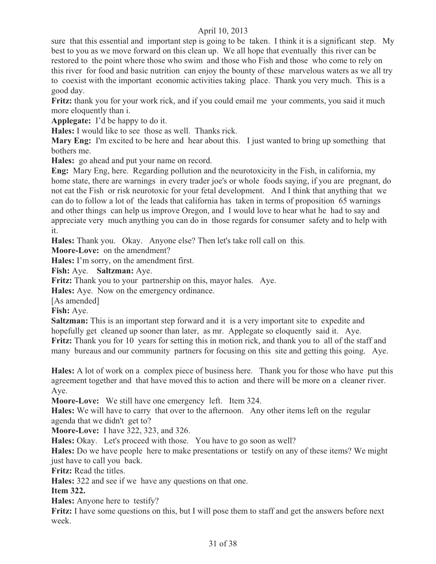sure that this essential and important step is going to be taken. I think it is a significant step. My best to you as we move forward on this clean up. We all hope that eventually this river can be restored to the point where those who swim and those who Fish and those who come to rely on this river for food and basic nutrition can enjoy the bounty of these marvelous waters as we all try to coexist with the important economic activities taking place. Thank you very much. This is a good day.

**Fritz:** thank you for your work rick, and if you could email me your comments, you said it much more eloquently than i.

**Applegate:** I'd be happy to do it.

**Hales:** I would like to see those as well. Thanks rick.

**Mary Eng:** I'm excited to be here and hear about this. I just wanted to bring up something that bothers me.

**Hales:** go ahead and put your name on record.

**Eng:** Mary Eng, here. Regarding pollution and the neurotoxicity in the Fish, in california, my home state, there are warnings in every trader joe's or whole foods saying, if you are pregnant, do not eat the Fish or risk neurotoxic for your fetal development. And I think that anything that we can do to follow a lot of the leads that california has taken in terms of proposition 65 warnings and other things can help us improve Oregon, and I would love to hear what he had to say and appreciate very much anything you can do in those regards for consumer safety and to help with it.

**Hales:** Thank you. Okay. Anyone else? Then let's take roll call on this.

**Moore-Love:** on the amendment?

**Hales:** I'm sorry, on the amendment first.

**Fish:** Aye. **Saltzman:** Aye.

**Fritz:** Thank you to your partnership on this, mayor hales. Aye.

**Hales:** Aye. Now on the emergency ordinance.

[As amended]

**Fish:** Aye.

**Saltzman:** This is an important step forward and it is a very important site to expedite and hopefully get cleaned up sooner than later, as mr. Applegate so eloquently said it. Aye. **Fritz:** Thank you for 10 years for setting this in motion rick, and thank you to all of the staff and many bureaus and our community partners for focusing on this site and getting this going. Aye.

**Hales:** A lot of work on a complex piece of business here. Thank you for those who have put this agreement together and that have moved this to action and there will be more on a cleaner river. Aye.

**Moore-Love:** We still have one emergency left. Item 324.

**Hales:** We will have to carry that over to the afternoon. Any other items left on the regular agenda that we didn't get to?

**Moore-Love:** I have 322, 323, and 326.

**Hales:** Okay. Let's proceed with those. You have to go soon as well?

**Hales:** Do we have people here to make presentations or testify on any of these items? We might just have to call you back.

**Fritz:** Read the titles.

**Hales:** 322 and see if we have any questions on that one.

**Item 322.**

**Hales:** Anyone here to testify?

**Fritz:** I have some questions on this, but I will pose them to staff and get the answers before next week.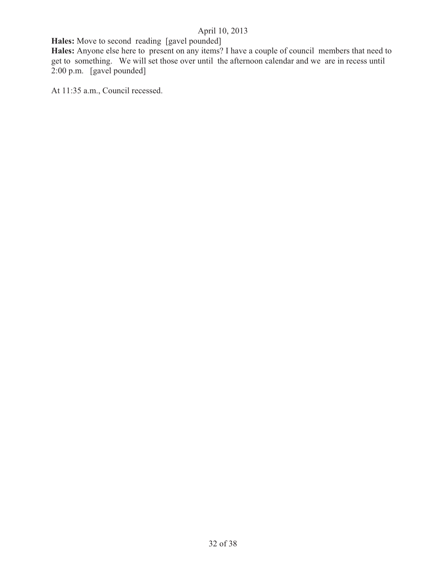**Hales:** Move to second reading [gavel pounded]

**Hales:** Anyone else here to present on any items? I have a couple of council members that need to get to something. We will set those over until the afternoon calendar and we are in recess until 2:00 p.m. [gavel pounded]

At 11:35 a.m., Council recessed.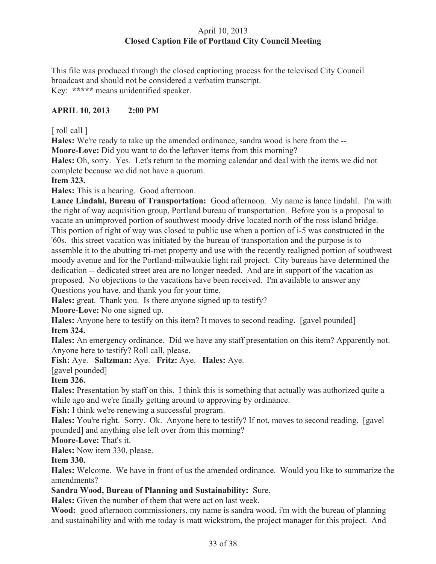### April 10, 2013 **Closed Caption File of Portland City Council Meeting**

This file was produced through the closed captioning process for the televised City Council broadcast and should not be considered a verbatim transcript. Key: **\*\*\*\*\*** means unidentified speaker.

### **APRIL 10, 2013 2:00 PM**

[ roll call ]

**Hales:** We're ready to take up the amended ordinance, sandra wood is here from the -- **Moore-Love:** Did you want to do the leftover items from this morning?

**Hales:** Oh, sorry. Yes. Let's return to the morning calendar and deal with the items we did not complete because we did not have a quorum.

**Item 323.**

**Hales:** This is a hearing. Good afternoon.

**Lance Lindahl, Bureau of Transportation:** Good afternoon. My name is lance lindahl. I'm with the right of way acquisition group, Portland bureau of transportation. Before you is a proposal to vacate an unimproved portion of southwest moody drive located north of the ross island bridge. This portion of right of way was closed to public use when a portion of i-5 was constructed in the '60s. this street vacation was initiated by the bureau of transportation and the purpose is to assemble it to the abutting tri-met property and use with the recently realigned portion of southwest moody avenue and for the Portland-milwaukie light rail project. City bureaus have determined the dedication -- dedicated street area are no longer needed. And are in support of the vacation as proposed. No objections to the vacations have been received. I'm available to answer any Questions you have, and thank you for your time.

**Hales:** great. Thank you. Is there anyone signed up to testify?

**Moore-Love:** No one signed up.

**Hales:** Anyone here to testify on this item? It moves to second reading. [gavel pounded] **Item 324.** 

**Hales:** An emergency ordinance. Did we have any staff presentation on this item? Apparently not. Anyone here to testify? Roll call, please.

**Fish:** Aye. **Saltzman:** Aye. **Fritz:** Aye. **Hales:** Aye.

[gavel pounded]

### **Item 326.**

**Hales:** Presentation by staff on this. I think this is something that actually was authorized quite a while ago and we're finally getting around to approving by ordinance.

Fish: I think we're renewing a successful program.

Hales: You're right. Sorry. Ok. Anyone here to testify? If not, moves to second reading. [gavel] pounded] and anything else left over from this morning?

**Moore-Love:** That's it.

**Hales:** Now item 330, please.

**Item 330.**

**Hales:** Welcome. We have in front of us the amended ordinance. Would you like to summarize the amendments?

### **Sandra Wood, Bureau of Planning and Sustainability:** Sure.

**Hales:** Given the number of them that were act on last week.

**Wood:** good afternoon commissioners, my name is sandra wood, i'm with the bureau of planning and sustainability and with me today is matt wickstrom, the project manager for this project. And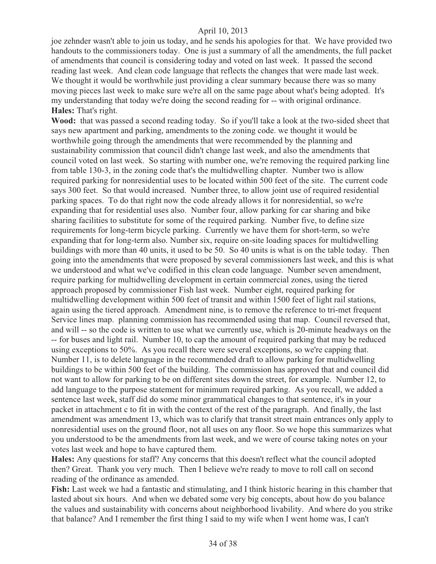joe zehnder wasn't able to join us today, and he sends his apologies for that. We have provided two handouts to the commissioners today. One is just a summary of all the amendments, the full packet of amendments that council is considering today and voted on last week. It passed the second reading last week. And clean code language that reflects the changes that were made last week. We thought it would be worthwhile just providing a clear summary because there was so many moving pieces last week to make sure we're all on the same page about what's being adopted. It's my understanding that today we're doing the second reading for -- with original ordinance. **Hales:** That's right.

**Wood:** that was passed a second reading today. So if you'll take a look at the two-sided sheet that says new apartment and parking, amendments to the zoning code. we thought it would be worthwhile going through the amendments that were recommended by the planning and sustainability commission that council didn't change last week, and also the amendments that council voted on last week. So starting with number one, we're removing the required parking line from table 130-3, in the zoning code that's the multidwelling chapter. Number two is allow required parking for nonresidential uses to be located within 500 feet of the site. The current code says 300 feet. So that would increased. Number three, to allow joint use of required residential parking spaces. To do that right now the code already allows it for nonresidential, so we're expanding that for residential uses also. Number four, allow parking for car sharing and bike sharing facilities to substitute for some of the required parking. Number five, to define size requirements for long-term bicycle parking. Currently we have them for short-term, so we're expanding that for long-term also. Number six, require on-site loading spaces for multidwelling buildings with more than 40 units, it used to be 50. So 40 units is what is on the table today. Then going into the amendments that were proposed by several commissioners last week, and this is what we understood and what we've codified in this clean code language. Number seven amendment, require parking for multidwelling development in certain commercial zones, using the tiered approach proposed by commissioner Fish last week. Number eight, required parking for multidwelling development within 500 feet of transit and within 1500 feet of light rail stations, again using the tiered approach. Amendment nine, is to remove the reference to tri-met frequent Service lines map. planning commission has recommended using that map. Council reversed that, and will -- so the code is written to use what we currently use, which is 20-minute headways on the -- for buses and light rail. Number 10, to cap the amount of required parking that may be reduced using exceptions to 50%. As you recall there were several exceptions, so we're capping that. Number 11, is to delete language in the recommended draft to allow parking for multidwelling buildings to be within 500 feet of the building. The commission has approved that and council did not want to allow for parking to be on different sites down the street, for example. Number 12, to add language to the purpose statement for minimum required parking. As you recall, we added a sentence last week, staff did do some minor grammatical changes to that sentence, it's in your packet in attachment c to fit in with the context of the rest of the paragraph. And finally, the last amendment was amendment 13, which was to clarify that transit street main entrances only apply to nonresidential uses on the ground floor, not all uses on any floor. So we hope this summarizes what you understood to be the amendments from last week, and we were of course taking notes on your votes last week and hope to have captured them.

**Hales:** Any questions for staff? Any concerns that this doesn't reflect what the council adopted then? Great. Thank you very much. Then I believe we're ready to move to roll call on second reading of the ordinance as amended.

**Fish:** Last week we had a fantastic and stimulating, and I think historic hearing in this chamber that lasted about six hours. And when we debated some very big concepts, about how do you balance the values and sustainability with concerns about neighborhood livability. And where do you strike that balance? And I remember the first thing I said to my wife when I went home was, I can't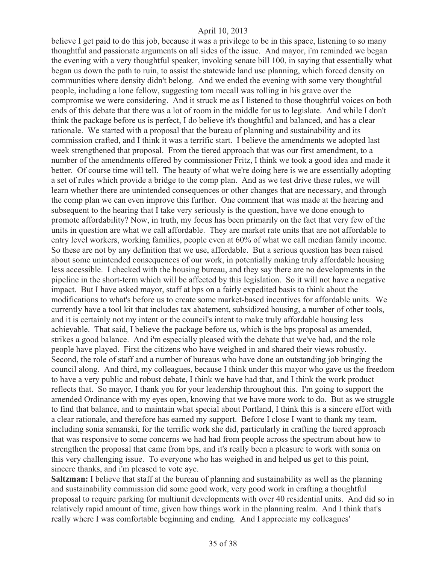believe I get paid to do this job, because it was a privilege to be in this space, listening to so many thoughtful and passionate arguments on all sides of the issue. And mayor, i'm reminded we began the evening with a very thoughtful speaker, invoking senate bill 100, in saying that essentially what began us down the path to ruin, to assist the statewide land use planning, which forced density on communities where density didn't belong. And we ended the evening with some very thoughtful people, including a lone fellow, suggesting tom mccall was rolling in his grave over the compromise we were considering. And it struck me as I listened to those thoughtful voices on both ends of this debate that there was a lot of room in the middle for us to legislate. And while I don't think the package before us is perfect, I do believe it's thoughtful and balanced, and has a clear rationale. We started with a proposal that the bureau of planning and sustainability and its commission crafted, and I think it was a terrific start. I believe the amendments we adopted last week strengthened that proposal. From the tiered approach that was our first amendment, to a number of the amendments offered by commissioner Fritz, I think we took a good idea and made it better. Of course time will tell. The beauty of what we're doing here is we are essentially adopting a set of rules which provide a bridge to the comp plan. And as we test drive these rules, we will learn whether there are unintended consequences or other changes that are necessary, and through the comp plan we can even improve this further. One comment that was made at the hearing and subsequent to the hearing that I take very seriously is the question, have we done enough to promote affordability? Now, in truth, my focus has been primarily on the fact that very few of the units in question are what we call affordable. They are market rate units that are not affordable to entry level workers, working families, people even at 60% of what we call median family income. So these are not by any definition that we use, affordable. But a serious question has been raised about some unintended consequences of our work, in potentially making truly affordable housing less accessible. I checked with the housing bureau, and they say there are no developments in the pipeline in the short-term which will be affected by this legislation. So it will not have a negative impact. But I have asked mayor, staff at bps on a fairly expedited basis to think about the modifications to what's before us to create some market-based incentives for affordable units. We currently have a tool kit that includes tax abatement, subsidized housing, a number of other tools, and it is certainly not my intent or the council's intent to make truly affordable housing less achievable. That said, I believe the package before us, which is the bps proposal as amended, strikes a good balance. And i'm especially pleased with the debate that we've had, and the role people have played. First the citizens who have weighed in and shared their views robustly. Second, the role of staff and a number of bureaus who have done an outstanding job bringing the council along. And third, my colleagues, because I think under this mayor who gave us the freedom to have a very public and robust debate, I think we have had that, and I think the work product reflects that. So mayor, I thank you for your leadership throughout this. I'm going to support the amended Ordinance with my eyes open, knowing that we have more work to do. But as we struggle to find that balance, and to maintain what special about Portland, I think this is a sincere effort with a clear rationale, and therefore has earned my support. Before I close I want to thank my team, including sonia semanski, for the terrific work she did, particularly in crafting the tiered approach that was responsive to some concerns we had had from people across the spectrum about how to strengthen the proposal that came from bps, and it's really been a pleasure to work with sonia on this very challenging issue. To everyone who has weighed in and helped us get to this point, sincere thanks, and i'm pleased to vote aye.

**Saltzman:** I believe that staff at the bureau of planning and sustainability as well as the planning and sustainability commission did some good work, very good work in crafting a thoughtful proposal to require parking for multiunit developments with over 40 residential units. And did so in relatively rapid amount of time, given how things work in the planning realm. And I think that's really where I was comfortable beginning and ending. And I appreciate my colleagues'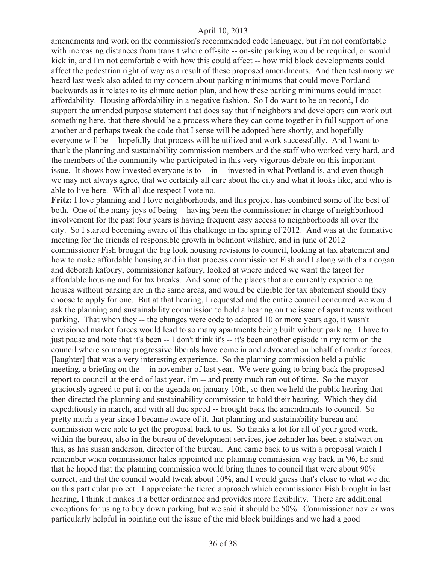amendments and work on the commission's recommended code language, but i'm not comfortable with increasing distances from transit where off-site -- on-site parking would be required, or would kick in, and I'm not comfortable with how this could affect -- how mid block developments could affect the pedestrian right of way as a result of these proposed amendments. And then testimony we heard last week also added to my concern about parking minimums that could move Portland backwards as it relates to its climate action plan, and how these parking minimums could impact affordability. Housing affordability in a negative fashion. So I do want to be on record, I do support the amended purpose statement that does say that if neighbors and developers can work out something here, that there should be a process where they can come together in full support of one another and perhaps tweak the code that I sense will be adopted here shortly, and hopefully everyone will be -- hopefully that process will be utilized and work successfully. And I want to thank the planning and sustainability commission members and the staff who worked very hard, and the members of the community who participated in this very vigorous debate on this important issue. It shows how invested everyone is to -- in -- invested in what Portland is, and even though we may not always agree, that we certainly all care about the city and what it looks like, and who is able to live here. With all due respect I vote no.

**Fritz:** I love planning and I love neighborhoods, and this project has combined some of the best of both. One of the many joys of being -- having been the commissioner in charge of neighborhood involvement for the past four years is having frequent easy access to neighborhoods all over the city. So I started becoming aware of this challenge in the spring of 2012. And was at the formative meeting for the friends of responsible growth in belmont wilshire, and in june of 2012 commissioner Fish brought the big look housing revisions to council, looking at tax abatement and how to make affordable housing and in that process commissioner Fish and I along with chair cogan and deborah kafoury, commissioner kafoury, looked at where indeed we want the target for affordable housing and for tax breaks. And some of the places that are currently experiencing houses without parking are in the same areas, and would be eligible for tax abatement should they choose to apply for one. But at that hearing, I requested and the entire council concurred we would ask the planning and sustainability commission to hold a hearing on the issue of apartments without parking. That when they -- the changes were code to adopted 10 or more years ago, it wasn't envisioned market forces would lead to so many apartments being built without parking. I have to just pause and note that it's been -- I don't think it's -- it's been another episode in my term on the council where so many progressive liberals have come in and advocated on behalf of market forces. [laughter] that was a very interesting experience. So the planning commission held a public meeting, a briefing on the -- in november of last year. We were going to bring back the proposed report to council at the end of last year, i'm -- and pretty much ran out of time. So the mayor graciously agreed to put it on the agenda on january 10th, so then we held the public hearing that then directed the planning and sustainability commission to hold their hearing. Which they did expeditiously in march, and with all due speed -- brought back the amendments to council. So pretty much a year since I became aware of it, that planning and sustainability bureau and commission were able to get the proposal back to us. So thanks a lot for all of your good work, within the bureau, also in the bureau of development services, joe zehnder has been a stalwart on this, as has susan anderson, director of the bureau. And came back to us with a proposal which I remember when commissioner hales appointed me planning commission way back in '96, he said that he hoped that the planning commission would bring things to council that were about 90% correct, and that the council would tweak about 10%, and I would guess that's close to what we did on this particular project. I appreciate the tiered approach which commissioner Fish brought in last hearing, I think it makes it a better ordinance and provides more flexibility. There are additional exceptions for using to buy down parking, but we said it should be 50%. Commissioner novick was particularly helpful in pointing out the issue of the mid block buildings and we had a good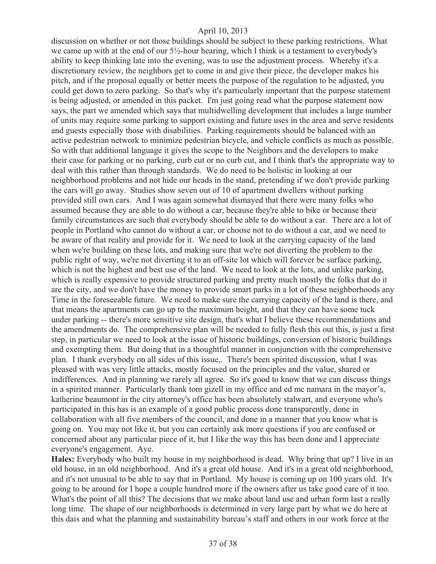discussion on whether or not those buildings should be subject to these parking restrictions. What we came up with at the end of our 5½-hour hearing, which I think is a testament to everybody's ability to keep thinking late into the evening, was to use the adjustment process. Whereby it's a discretionary review, the neighbors get to come in and give their piece, the developer makes his pitch, and if the proposal equally or better meets the purpose of the regulation to be adjusted, you could get down to zero parking. So that's why it's particularly important that the purpose statement is being adjusted, or amended in this packet. I'm just going read what the purpose statement now says, the part we amended which says that multidwelling development that includes a large number of units may require some parking to support existing and future uses in the area and serve residents and guests especially those with disabilities. Parking requirements should be balanced with an active pedestrian network to minimize pedestrian bicycle, and vehicle conflicts as much as possible. So with that additional language it gives the scope to the Neighbors and the developers to make their case for parking or no parking, curb cut or no curb cut, and I think that's the appropriate way to deal with this rather than through standards. We do need to be holistic in looking at our neighborhood problems and not hide our heads in the stand, pretending if we don't provide parking the cars will go away. Studies show seven out of 10 of apartment dwellers without parking provided still own cars. And I was again somewhat dismayed that there were many folks who assumed because they are able to do without a car, because they're able to bike or because their family circumstances are such that everybody should be able to do without a car. There are a lot of people in Portland who cannot do without a car, or choose not to do without a car, and we need to be aware of that reality and provide for it. We need to look at the carrying capacity of the land when we're building on these lots, and making sure that we're not diverting the problem to the public right of way, we're not diverting it to an off-site lot which will forever be surface parking, which is not the highest and best use of the land. We need to look at the lots, and unlike parking, which is really expensive to provide structured parking and pretty much mostly the folks that do it are the city, and we don't have the money to provide smart parks in a lot of these neighborhoods any Time in the foreseeable future. We need to make sure the carrying capacity of the land is there, and that means the apartments can go up to the maximum height, and that they can have some tuck under parking -- there's more sensitive site design, that's what I believe these recommendations and the amendments do. The comprehensive plan will be needed to fully flesh this out this, is just a first step, in particular we need to look at the issue of historic buildings, conversion of historic buildings and exempting them. But doing that in a thoughtful manner in conjunction with the comprehensive plan. I thank everybody on all sides of this issue,. There's been spirited discussion, what I was pleased with was very little attacks, mostly focused on the principles and the value, shared or indifferences. And in planning we rarely all agree. So it's good to know that we can discuss things in a spirited manner. Particularly thank tom gizell in my office and ed mc namara in the mayor's, katherine beaumont in the city attorney's office has been absolutely stalwart, and everyone who's participated in this has is an example of a good public process done transparently, done in collaboration with all five members of the council, and done in a manner that you know what is going on. You may not like it, but you can certainly ask more questions if you are confused or concerned about any particular piece of it, but I like the way this has been done and I appreciate everyone's engagement. Aye.

**Hales:** Everybody who built my house in my neighborhood is dead. Why bring that up? I live in an old house, in an old neighborhood. And it's a great old house. And it's in a great old neighborhood, and it's not unusual to be able to say that in Portland. My house is coming up on 100 years old. It's going to be around for I hope a couple hundred more if the owners after us take good care of it too. What's the point of all this? The decisions that we make about land use and urban form last a really long time. The shape of our neighborhoods is determined in very large part by what we do here at this dais and what the planning and sustainability bureau's staff and others in our work force at the